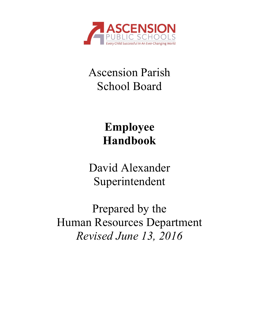

## Ascension Parish School Board

# **Employee Handbook**

David Alexander Superintendent

Prepared by the Human Resources Department *Revised June 13, 2016*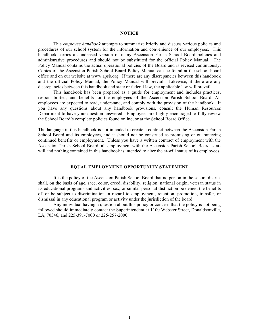#### **NOTICE**

This *employee handbook* attempts to summarize briefly and discuss various policies and procedures of our school system for the information and convenience of our employees. This handbook carries a condensed version of many Ascension Parish School Board policies and administrative procedures and should not be substituted for the official Policy Manual. The Policy Manual contains the actual operational policies of the Board and is revised continuously. Copies of the Ascension Parish School Board Policy Manual can be found at the school board office and on our website at www.apsb.org. If there are any discrepancies between this handbook and the official Policy Manual, the Policy Manual will prevail. Likewise, if there are any discrepancies between this handbook and state or federal law, the applicable law will prevail.

This handbook has been prepared as a guide for employment and includes practices, responsibilities, and benefits for the employees of the Ascension Parish School Board. All employees are expected to read, understand, and comply with the provision of the handbook. If you have any questions about any handbook provisions, consult the Human Resources Department to have your question answered. Employees are highly encouraged to fully review the School Board's complete policies found online, or at the School Board Office.

The language in this handbook is not intended to create a contract between the Ascension Parish School Board and its employees, and it should not be construed as promising or guaranteeing continued benefits or employment. Unless you have a written contract of employment with the Ascension Parish School Board, all employment with the Ascension Parish School Board is atwill and nothing contained in this handbook is intended to alter the at-will status of its employees.

#### **EQUAL EMPLOYMENT OPPORTUNITY STATEMENT**

It is the policy of the Ascension Parish School Board that no person in the school district shall, on the basis of age, race, color, creed, disability, religion, national origin, veteran status in its educational programs and activities, sex, or similar personal distinction be denied the benefits of, or be subject to discrimination in regard to employment, retention, promotion, transfer, or dismissal in any educational program or activity under the jurisdiction of the board.

Any individual having a question about this policy or concern that the policy is not being followed should immediately contact the Superintendent at 1100 Webster Street, Donaldsonville, LA, 70346, and 225-391-7000 or 225-257-2000.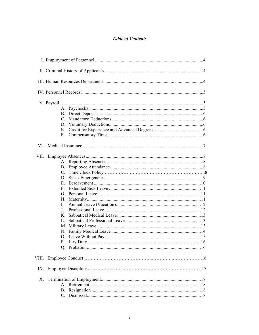## **Table of Contents**

| VI.   |          |  |
|-------|----------|--|
| VII.  |          |  |
|       |          |  |
|       |          |  |
|       |          |  |
|       |          |  |
|       |          |  |
|       | F.       |  |
|       |          |  |
|       |          |  |
|       | L        |  |
|       | $\bf{J}$ |  |
|       | K        |  |
|       | L.       |  |
|       |          |  |
|       |          |  |
|       |          |  |
|       | Ρ.       |  |
|       |          |  |
| VIII. |          |  |
| IX.   |          |  |
| Χ.    |          |  |
|       |          |  |
|       |          |  |
|       |          |  |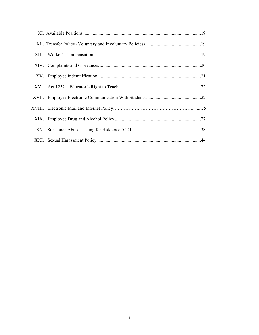| XX. |  |
|-----|--|
|     |  |
|     |  |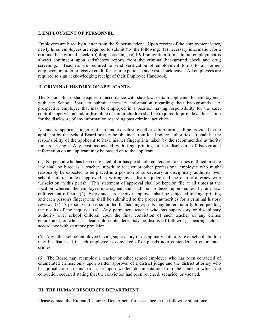#### **I. EMPLOYMENT OF PERSONNEL**

Employees are hired by a letter from the Superintendent. Upon receipt of the employment letter, newly hired employees are required to submit (to) the following: (a) necessary information for a criminal background check; (b) drug screening; (c) I-9 Immigration form. Initial employment is always contingent upon satisfactory reports from the criminal background check and drug screening,. Teachers are required to send verification of employment forms to all former employers in order to receive credit for prior experience and vested sick leave. All employees are required to sign acknowledging receipt of their Employee Handbook.

## **II. CRIMINAL HISTORY OF APPLICANTS**

The School Board shall require, in accordance with state law, certain applicants for employment with the School Board to submit necessary information regarding their backgrounds. A prospective employee that may be employed in a position having responsibility for the care, control, supervision and/or discipline of minor children shall be required to provide authorization for the disclosure of any information regarding past criminal activities.

A standard applicant fingerprint card and a disclosure authorization form shall be provided to the applicant by the School Board or may be obtained from local police authorities. It shall be the responsibility of the applicant to have his/her fingerprints taken by the recommended authority for processing. Any cost associated with fingerprinting or the disclosure of background information on an applicant may be passed on to the applicant.

(1) No person who has been convicted of or has plead nolo contendere to crimes outlined in state law shall be hired as a teacher, substitute teacher or other professional employee who might reasonably be expected to be placed in a position of supervisory or disciplinary authority over school children unless approved in writing by a district judge and the district attorney with jurisdiction in this parish. This statement of approval shall be kept on file at all times at the location wherein the employee is assigned and shall be produced upon request by any law enforcement officer. (2) Every such prospective employee shall be subjected to fingerprinting and each person's fingerprints shall be submitted to the proper authorities for a criminal history review. (3) A person who has submitted his/her fingerprints may be temporarily hired pending the results of the inquiry. (4) Any permanent teacher who has supervisory or disciplinary authority over school children upon the final conviction of such teacher of any crimes enumerated, or who has plead nolo contendere, may be dismissed following a hearing held in accordance with statutory provision.

(5) Any other school employee having supervisory or disciplinary authority over school children may be dismissed if such employee is convicted of or pleads nolo contendere to enumerated crimes.

(6) The Board may reemploy a teacher or other school employee who has been convicted of enumerated crimes, only upon written approval of a district judge and the district attorney who has jurisdiction in this parish, or upon written documentation from the court in which the conviction occurred stating that the conviction had been reversed, set aside, or vacated.

## **III. THE HUMAN RESOURCES DEPARTMENT**

Please contact the Human Resources Department for assistance in the following situations: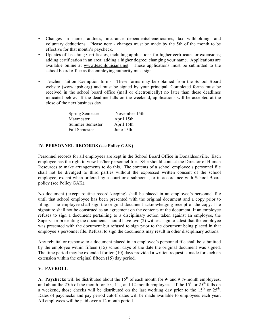- Changes in name, address, insurance dependents/beneficiaries, tax withholding, and voluntary deductions. Please note - changes must be made by the 5th of the month to be effective for that month's paycheck.
- Updates of Teaching Certificates, including applications for higher certificates or extensions; adding certification in an area; adding a higher degree; changing your name. Applications are available online at www.teachlouisiana.net. These applications must be submitted to the school board office as the employing authority must sign.
- Teacher Tuition Exemption forms. These forms may be obtained from the School Board website (www.apsb.org) and must be signed by your principal. Completed forms must be received in the school board office (mail or electronically) no later than these deadlines indicated below. If the deadline falls on the weekend, applications will be accepted at the close of the next business day.

| <b>Spring Semester</b> | November 15th |
|------------------------|---------------|
| Maymester              | April 15th    |
| Summer Semester        | April 15th    |
| <b>Fall Semester</b>   | June 15th     |

## **IV. PERSONNEL RECORDS (see Policy GAK)**

Personnel records for all employees are kept in the School Board Office in Donaldsonville. Each employee has the right to view his/her personnel file. S/he should contact the Director of Human Resources to make arrangements to do this. The contents of a school employee's personnel file shall not be divulged to third parties without the expressed written consent of the school employee, except when ordered by a court or a subpoena, or in accordance with School Board policy (see Policy GAK).

No document (except routine record keeping) shall be placed in an employee's personnel file until that school employee has been presented with the original document and a copy prior to filing. The employee shall sign the original document acknowledging receipt of the copy. The signature shall not be construed as an agreement on the contents of the document. If an employee refuses to sign a document pertaining to a disciplinary action taken against an employee, the Supervisor presenting the documents should have two (2) witness sign to attest that the employee was presented with the document but refused to sign prior to the document being placed in that employee's personnel file. Refusal to sign the documents may result in other disciplinary actions.

Any rebuttal or response to a document placed in an employee's personnel file shall be submitted by the employee within fifteen (15) school days of the date the original document was signed. The time period may be extended for ten (10) days provided a written request is made for such an extension within the original fifteen (15) day period.

## **V. PAYROLL**

**A. Paychecks** will be distributed about the 15<sup>th</sup> of each month for 9- and 9  $\frac{1}{2}$ -month employees, and about the 25th of the month for 10-, 11-, and 12-month employees. If the  $15<sup>th</sup>$  or  $25<sup>th</sup>$  falls on a weekend, those checks will be distributed on the last working day prior to the  $15<sup>th</sup>$  or  $25<sup>th</sup>$ . Dates of paychecks and pay period cutoff dates will be made available to employees each year. All employees will be paid over a 12 month period.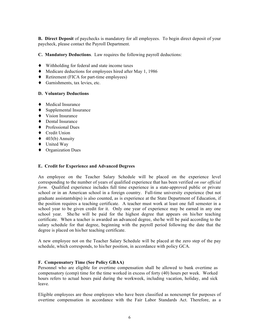**B.** Direct Deposit of paychecks is mandatory for all employees. To begin direct deposit of your paycheck, please contact the Payroll Department.

**C. Mandatory Deductions**. Law requires the following payroll deductions:

- ♦ Withholding for federal and state income taxes
- ♦ Medicare deductions for employees hired after May 1, 1986
- ♦ Retirement (FICA for part-time employees)
- ♦ Garnishments, tax levies, etc.

## **D. Voluntary Deductions**

- ♦ Medical Insurance
- ♦ Supplemental Insurance
- ♦ Vision Insurance
- ♦ Dental Insurance
- ♦ Professional Dues
- ♦ Credit Union
- $\triangleleft$  403(b) Annuity
- ♦ United Way
- ♦ Organization Dues

## **E. Credit for Experience and Advanced Degrees**

An employee on the Teacher Salary Schedule will be placed on the experience level corresponding to the number of years of qualified experience that has been verified *on our official form.* Qualified experience includes full time experience in a state-approved public or private school or in an American school in a foreign country. Full-time university experience (but not graduate assistantships) is also counted, as is experience at the State Department of Education, if the position requires a teaching certificate. A teacher must work at least one full semester in a school year to be given credit for it. Only one year of experience may be earned in any one school year. She/he will be paid for the highest degree that appears on his/her teaching certificate. When a teacher is awarded an advanced degree, she/he will be paid according to the salary schedule for that degree, beginning with the payroll period following the date that the degree is placed on his/her teaching certificate.

A new employee not on the Teacher Salary Schedule will be placed at the zero step of the pay schedule, which corresponds, to his/her position, in accordance with policy GCA.

## **F. Compensatory Time (See Policy GBAA)**

Personnel who are eligible for overtime compensation shall be allowed to bank overtime as compensatory (comp) time for the time worked in excess of forty (40) hours per week. Worked hours refers to actual hours paid during the workweek, including vacation, holiday, and sick leave.

Eligible employees are those employees who have been classified as nonexempt for purposes of overtime compensation in accordance with the Fair Labor Standards Act. Therefore, as a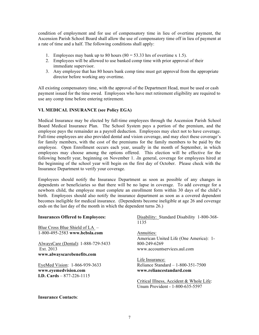condition of employment and for use of compensatory time in lieu of overtime payment, the Ascension Parish School Board shall allow the use of compensatory time off in lieu of payment at a rate of time and a half. The following conditions shall apply:

- 1. Employees may bank up to 80 hours  $(80 = 53.33$  hrs of overtime x 1.5).
- 2. Employees will be allowed to use banked comp time with prior approval of their immediate supervisor.
- 3. Any employee that has 80 hours bank comp time must get approval from the appropriate director before working any overtime.

All existing compensatory time, with the approval of the Department Head, must be used or cash payment issued for the time owed. Employees who have met retirement eligibility are required to use any comp time before entering retirement.

## **VI. MEDICAL INSURANCE (see Policy EGA)**

Medical Insurance may be elected by full-time employees through the Ascension Parish School Board Medical Insurance Plan. The School System pays a portion of the premium, and the employee pays the remainder as a payroll deduction. Employees may elect not to have coverage. Full-time employees are also provided dental and vision coverage, and may elect these coverage's for family members, with the cost of the premiums for the family members to be paid by the employee. Open Enrollment occurs each year, usually in the month of September, in which employees may choose among the options offered. This election will be effective for the following benefit year, beginning on November 1. .In general, coverage for employees hired at the beginning of the school year will begin on the first day of October. Please check with the Insurance Department to verify your coverage.

Employees should notify the Insurance Department as soon as possible of any changes in dependents or beneficiaries so that there will be no lapse in coverage. To add coverage for a newborn child, the employee must complete an enrollment form within 30 days of the child's birth. Employees should also notify the insurance department as soon as a covered dependent becomes ineligible for medical insurance. (Dependents become ineligible at age 26 and coverage ends on the last day of the month in which the dependent turns 26.)

| <b>Insurances Offered to Employees:</b> | Disability: Standard Disability 1-800-368-<br>1135 |
|-----------------------------------------|----------------------------------------------------|
| Blue Cross Blue Shield of $LA -$        |                                                    |
| 1-800-495-2583 www.bcbsla.com           | Annuities:                                         |
|                                         | American United Life (One America): 1-             |
| AlwaysCare (Dental): 1-888-729-5433     | 800-249-6269                                       |
| Ext. 2013                               | www.accountservices.aul.com                        |
| www.alwayscarebenefits.com              |                                                    |
|                                         | Life Insurance:                                    |
| EyeMed Vision: 1-866-939-3633           | Reliance Standard $-1-800-351-7500$                |
| www.eyemedvision.com                    | www.reliancestandard.com                           |
| <b>I.D.</b> Cards $- 877 - 226 - 1115$  |                                                    |
|                                         | Critical Illness, Accident & Whole Life:           |
|                                         | Unum Provident - 1-800-635-5597                    |

#### **Insurance Contacts**: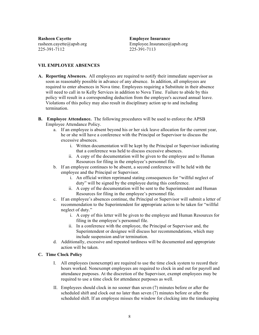**Rasheen Cayette Employee Insurance**   $225 - 391 - 7112$ 

rasheen.cayette@apsb.org Employee.Insurance@apsb.org Employee.Insurance@apsb.org 225-391-7113

## **VII. EMPLOYEE ABSENCES**

- **A. Reporting Absences.** All employees are required to notify their immediate supervisor as soon as reasonably possible in advance of any absence. In addition, all employees are required to enter absences in Nova time. Employees requiring a Substitute in their absence will need to call in to Kelly Services in addition to Nova Time. Failure to abide by this policy will result in a corresponding deduction from the employee's accrued annual leave. Violations of this policy may also result in disciplinary action up to and including termination.
- **B. Employee Attendance.** The following procedures will be used to enforce the APSB Employee Attendance Policy.
	- a. If an employee is absent beyond his or her sick leave allocation for the current year, he or she will have a conference with the Principal or Supervisor to discuss the excessive absences.
		- i. Written documentation will be kept by the Principal or Supervisor indicating that a conference was held to discuss excessive absences.
		- ii. A copy of the documentation will be given to the employee and to Human Resources for filing in the employee's personnel file.
	- b. If an employee continues to be absent, a second conference will be held with the employee and the Principal or Supervisor.
		- i. An official written reprimand stating consequences for "willful neglect of duty" will be signed by the employee during this conference.
		- ii. A copy of the documentation will be sent to the Superintendent and Human Resources for filing in the employee's personnel file.
	- c. If an employee's absences continue, the Principal or Supervisor will submit a letter of recommendation to the Superintendent for appropriate action to be taken for "willful neglect of duty."
		- i. A copy of this letter will be given to the employee and Human Resources for filing in the employee's personnel file.
		- ii. In a conference with the employee, the Principal or Supervisor and, the Superintendent or designee will discuss her recommendations, which may include suspension and/or termination.
	- d. Additionally, excessive and repeated tardiness will be documented and appropriate action will be taken.

## **C. Time Clock Policy**

- I. All employees (nonexempt) are required to use the time clock system to record their hours worked. Nonexempt employees are required to clock in and out for payroll and attendance purposes. At the discretion of the Supervisor, exempt employees may be required to use a time clock for attendance purposes as well.
- II. Employees should clock in no sooner than seven (7) minutes before or after the scheduled shift and clock out no later than seven (7) minutes before or after the scheduled shift. If an employee misses the window for clocking into the timekeeping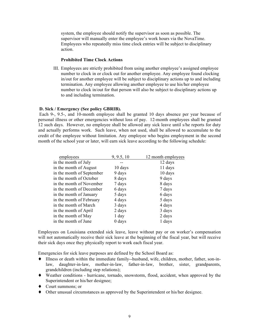system, the employee should notify the supervisor as soon as possible. The supervisor will manually enter the employee's work hours via the NovaTime. Employees who repeatedly miss time clock entries will be subject to disciplinary action.

#### **Prohibited Time Clock Actions**

III. Employees are strictly prohibited from using another employee's assigned employee number to clock in or clock out for another employee. Any employee found clocking in/out for another employee will be subject to disciplinary actions up to and including termination. Any employee allowing another employee to use his/her employee number to clock in/out for that person will also be subject to disciplinary actions up to and including termination.

#### **D. Sick / Emergency (See policy GBRIB).**

Each 9-, 9.5-, and 10-month employee shall be granted 10 days absence per year because of personal illness or other emergencies without loss of pay. 12-month employees shall be granted 12 such days. However, no employee shall be allowed any sick leave until s/he reports for duty and actually performs work. Such leave, when not used, shall be allowed to accumulate to the credit of the employee without limitation. Any employee who begins employment in the second month of the school year or later, will earn sick leave according to the following schedule:

| employees                 | 9, 9.5, 10 | 12 month employees |
|---------------------------|------------|--------------------|
| in the month of July      |            | 12 days            |
| in the month of August    | 10 days    | 11 days            |
| in the month of September | 9 days     | 10 days            |
| in the month of October   | 8 days     | 9 days             |
| in the month of November  | 7 days     | 8 days             |
| in the month of December  | 6 days     | 7 days             |
| in the month of January   | 5 days     | 6 days             |
| in the month of February  | 4 days     | 5 days             |
| in the month of March     | 3 days     | 4 days             |
| in the month of April     | 2 days     | 3 days             |
| in the month of May       | 1 day      | 2 days             |
| in the month of June      | 0 days     | 1 days             |
|                           |            |                    |

Employees on Louisiana extended sick leave, leave without pay or on worker's compensation will not automatically receive their sick leave at the beginning of the fiscal year, but will receive their sick days once they physically report to work each fiscal year.

Emergencies for sick leave purposes are defined by the School Board as:

- ♦ Illness or death within the immediate family--husband, wife, children, mother, father, son-inlaw, daughter-in-law, mother-in-law, father-in-law, brother, sister, grandparents, grandchildren (including step relations);
- ♦ Weather conditions hurricane, tornado, snowstorm, flood, accident, when approved by the Superintendent or his/her designee;
- ♦ Court summons; or
- ♦ Other unusual circumstances as approved by the Superintendent or his/her designee.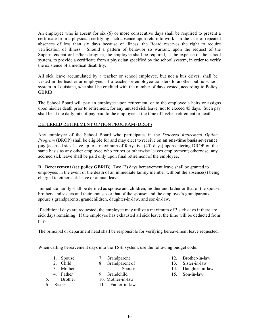An employee who is absent for six (6) or more consecutive days shall be required to present a certificate from a physician certifying such absence upon return to work. In the case of repeated absences of less than six days because of illness, the Board reserves the right to require verification of illness. Should a pattern of behavior so warrant, upon the request of the Superintendent or his/her designee, the employee shall be required, at the expense of the school system, to provide a certificate from a physician specified by the school system, in order to verify the existence of a medical disability.

All sick leave accumulated by a teacher or school employee, but not a bus driver, shall be vested in the teacher or employee. If a teacher or employee transfers to another public school system in Louisiana, s/he shall be credited with the number of days vested, according to Policy GBRIB

The School Board will pay an employee upon retirement, or to the employee's heirs or assigns upon his/her death prior to retirement, for any unused sick leave, not to exceed 45 days. Such pay shall be at the daily rate of pay paid to the employee at the time of his/her retirement or death.

## DEFERRED RETIREMENT OPTION PROGRAM (DROP)

Any employee of the School Board who participates in the *Deferred Retirement Option Program* (DROP) shall be eligible for and may elect to receive on **an one-time basis severance pay** (accrued sick leave up to a maximum of forty-five (45) days) upon entering DROP on the same basis as any other employee who retires or otherwise leaves employment; otherwise, any accrued sick leave shall be paid only upon final retirement of the employee.

**D. Bereavement (see policy GBRIB)**. Two (2) days bereavement leave shall be granted to employees in the event of the death of an immediate family member without the absence(s) being charged to either sick leave or annual leave.

Immediate family shall be defined as spouse and children; mother and father or that of the spouse; brothers and sisters and their spouses or that of the spouse; and the employee's grandparents, spouse's grandparents, grandchildren, daughter-in-law, and son-in-law.

If additional days are requested, the employee may utilize a maximum of 3 sick days if there are sick days remaining. If the employee has exhausted all sick leave, the time will be deducted from pay.

The principal or department head shall be responsible for verifying bereavement leave requested.

When calling bereavement days into the TSSI system, use the following budget code:

- 1. Spouse 2. Child
- 7. Grandparent
- 8. Grandparent of
- 3. Mother
- Spouse
- 4. Father
- 9. Grandchild
- 10. Mother-in-law
- 5. Brother 6. Sister
	- 11. Father-in-law
- 12. Brother-in-law
- 13. Sister-in-law
- 14. Daughter-in-law
- 15. Son-in-law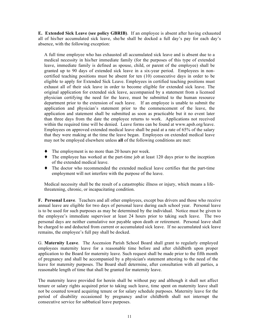**E. Extended Sick Leave (see policy GBRIB)**. If an employee is absent after having exhausted all of his/her accumulated sick leave, she/he shall be docked a full day's pay for each day's absence, with the following exception:

A full time employee who has exhausted all accumulated sick leave and is absent due to a medical necessity in his/her immediate family (for the purposes of this type of extended leave, immediate family is defined as spouse, child, or parent of the employee) shall be granted up to 90 days of extended sick leave in a six-year period. Employees in noncertified teaching positions must be absent for ten (10) consecutive days in order to be eligible to apply for Extended Sick Leave. Employees in certified teaching positions must exhaust all of their sick leave in order to become eligible for extended sick leave. The original application for extended sick leave, accompanied by a statement from a licensed physician certifying the need for the leave, must be submitted to the human resource department prior to the extension of such leave. If an employee is unable to submit the application and physician's statement prior to the commencement of the leave, the application and statement shall be submitted as soon as practicable but it no event later than three days from the date the employee returns to work. Applications not received within the required time will be denied. Leave forms can be found at www.apsb.org/leave. Employees on approved extended medical leave shall be paid at a rate of 65% of the salary that they were making at the time the leave began. Employees on extended medical leave may not be employed elsewhere unless **all** of the following conditions are met:

- ♦ The employment is no more than 20 hours per week.
- $\blacklozenge$  The employee has worked at the part-time job at least 120 days prior to the inception of the extended medical leave.
- ♦ The doctor who recommended the extended medical leave certifies that the part-time employment will not interfere with the purpose of the leave.

Medical necessity shall be the result of a catastrophic illness or injury, which means a lifethreatening, chronic, or incapacitating condition.

**F. Personal Leave**. Teachers and all other employees, except bus drivers and those who receive annual leave are eligible for two days of personal leave during each school year. Personal leave is to be used for such purposes as may be determined by the individual. Notice must be given to the employee's immediate supervisor at least 24 hours prior to taking such leave. The two personal days are neither cumulative nor payable upon death or retirement. Personal leave shall be charged to and deducted from current or accumulated sick leave. If no accumulated sick leave remains, the employee's full pay shall be docked.

G. **Maternity Leave**. The Ascension Parish School Board shall grant to regularly employed employees maternity leave for a reasonable time before and after childbirth upon proper application to the Board for maternity leave. Such request shall be made prior to the fifth month of pregnancy and shall be accompanied by a physician's statement attesting to the need of the leave for maternity purposes. The Board shall determine, after consultation with all parties, a reasonable length of time that shall be granted for maternity leave.

The maternity leave provided for herein shall be without pay and although it shall not affect tenure or salary rights acquired prior to taking such leave, time spent on maternity leave shall not be counted toward acquiring tenure or for salary schedule purposes. Maternity leave for the period of disability occasioned by pregnancy and/or childbirth shall not interrupt the consecutive service for sabbatical leave purposes.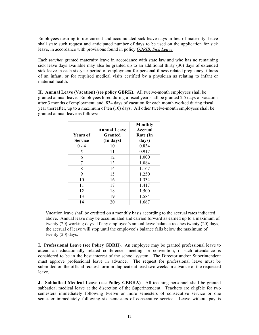Employees desiring to use current and accumulated sick leave days in lieu of maternity, leave shall state such request and anticipated number of days to be used on the application for sick leave, in accordance with provisions found in policy *GBRIB, Sick Leave*.

Each *teacher* granted maternity leave in accordance with state law and who has no remaining sick leave days available may also be granted up to an additional thirty (30) days of extended sick leave in each six-year period of employment for personal illness related pregnancy, illness of an infant, or for required medical visits certified by a physician as relating to infant or maternal health.

**H. Annual Leave (Vacation) (see policy GBRK).** All twelve-month employees shall be granted annual leave. Employees hired during a fiscal year shall be granted 2.5 days of vacation after 3 months of employment, and .834 days of vacation for each month worked during fiscal year thereafter, up to a maximum of ten (10) days. All other twelve-month employees shall be granted annual leave as follows:

| <b>Years of</b><br><b>Service</b> | <b>Annual Leave</b><br>Granted<br>(In days) | Monthly<br>Accrual<br>Rate (In<br>days) |
|-----------------------------------|---------------------------------------------|-----------------------------------------|
| $0 - 4$                           | 10                                          | 0.834                                   |
| 5                                 | 11                                          | 0.917                                   |
| 6                                 | 12                                          | 1.000                                   |
| 7                                 | 13                                          | 1.084                                   |
| 8                                 | 14                                          | 1.167                                   |
| 9                                 | 15                                          | 1.250                                   |
| 10                                | 16                                          | 1.334                                   |
| 11                                | 17                                          | 1.417                                   |
| 12                                | 18                                          | 1.500                                   |
| 13                                | 19                                          | 1.584                                   |
| 14                                | 20                                          | 1.667                                   |

Vacation leave shall be credited on a monthly basis according to the accrual rates indicated above. Annual leave may be accumulated and carried forward as earned up to a maximum of twenty (20) working days. If any employee's annual leave balance reaches twenty (20) days, the accrual of leave will stop until the employee's balance falls below the maximum of twenty (20) days.

**I. Professional Leave (see Policy GBRH)**. An employee may be granted professional leave to attend an educationally related conference, meeting, or convention, if such attendance is considered to be in the best interest of the school system. The Director and/or Superintendent must approve professional leave in advance. The request for professional leave must be submitted on the official request form in duplicate at least two weeks in advance of the requested leave.

**J. Sabbatical Medical Leave (see Policy GBRHA)**. All teaching personnel shall be granted sabbatical medical leave at the discretion of the Superintendent. Teachers are eligible for two semesters immediately following twelve or more semesters of consecutive service or one semester immediately following six semesters of consecutive service. Leave without pay is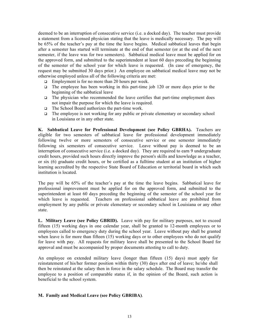deemed to be an interruption of consecutive service (i.e. a docked day). The teacher must provide a statement from a licensed physician stating that the leave is medically necessary. The pay will be 65% of the teacher's pay at the time the leave begins. Medical sabbatical leaves that begin after a semester has started will terminate at the end of that semester (or at the end of the next semester, if the leave was for two semesters). Sabbatical medical leave must be applied for on the approved form, and submitted to the superintendent at least 60 days preceding the beginning of the semester of the school year for which leave is requested. (In case of emergency, the request may be submitted 30 days prior.) An employee on sabbatical medical leave may not be otherwise employed unless all of the following criteria are met:

- $\Box$  Employment is for no more than 20 hours per week.
- The employee has been working in this part-time job 120 or more days prior to the beginning of the sabbatical leave
- $\Box$  The physician who recommended the leave certifies that part-time employment does not impair the purpose for which the leave is required.
- $\Box$  The School Board authorizes the part-time work.
- $\Box$  The employee is not working for any public or private elementary or secondary school in Louisiana or in any other state.

**K. Sabbatical Leave for Professional Development (see Policy GBRHA).** Teachers are eligible for two semesters of sabbatical leave for professional development immediately following twelve or more semesters of consecutive service or one semester immediately following six semesters of consecutive service. Leave without pay is deemed to be an interruption of consecutive service (i.e. a docked day). They are required to earn 9 undergraduate credit hours, provided such hours directly improve the person's skills and knowledge as a teacher, or six (6) graduate credit hours, or be certified as a fulltime student at an institution of higher learning accredited by the respective State Board of Education or territorial board in which such institution is located.

The pay will be 65% of the teacher's pay at the time the leave begins. Sabbatical leave for professional improvement must be applied for on the approved form, and submitted to the superintendent at least 60 days preceding the beginning of the semester of the school year for which leave is requested. Teachers on professional sabbatical leave are prohibited from employment by any public or private elementary or secondary school in Louisiana or any other state.

**L. Military Leave (see Policy GBRID).** Leave with pay for military purposes, not to exceed fifteen (15) working days in one calendar year, shall be granted to 12-month employees or to employees called to emergency duty during the school year. Leave without pay shall be granted when leave is for more than fifteen (15) working days or to other employees who do not qualify for leave with pay. All requests for military leave shall be presented to the School Board for approval and must be accompanied by proper documents attesting to call to duty.

An employee on extended military leave (longer than fifteen (15) days) must apply for reinstatement of his/her former position within thirty (30) days after end of leave; he/she shall then be reinstated at the salary then in force in the salary schedule. The Board may transfer the employee to a position of comparable status if, in the opinion of the Board, such action is beneficial to the school system.

## **M. Family and Medical Leave (see Policy GBRIBA)**.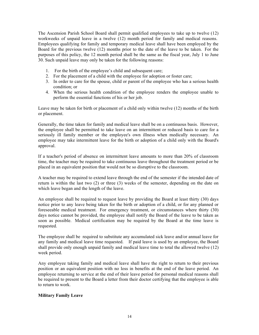The Ascension Parish School Board shall permit qualified employees to take up to twelve (12) workweeks of unpaid leave in a twelve (12) month period for family and medical reasons. Employees qualifying for family and temporary medical leave shall have been employed by the Board for the previous twelve (12) months prior to the date of the leave to be taken. For the purposes of this policy, the 12 month period shall be the same as the fiscal year, July 1 to June 30. Such unpaid leave may only be taken for the following reasons:

- 1. For the birth of the employee's child and subsequent care;
- 2. For the placement of a child with the employee for adoption or foster care;
- 3. In order to care for the spouse, child or parent of the employee who has a serious health condition; or
- 4. When the serious health condition of the employee renders the employee unable to perform the essential functions of his or her job.

Leave may be taken for birth or placement of a child only within twelve (12) months of the birth or placement.

Generally, the time taken for family and medical leave shall be on a continuous basis. However, the employee shall be permitted to take leave on an intermittent or reduced basis to care for a seriously ill family member or the employee's own illness when medically necessary. An employee may take intermittent leave for the birth or adoption of a child only with the Board's approval.

If a teacher's period of absence on intermittent leave amounts to more than 20% of classroom time, the teacher may be required to take continuous leave throughout the treatment period or be placed in an equivalent position that would not be so disruptive to the classroom.

A teacher may be required to extend leave through the end of the semester if the intended date of return is within the last two (2) or three (3) weeks of the semester, depending on the date on which leave began and the length of the leave.

An employee shall be required to request leave by providing the Board at least thirty (30) days notice prior to any leave being taken for the birth or adoption of a child, or for any planned or foreseeable medical treatment. For emergency treatment, or circumstances where thirty (30) days notice cannot be provided, the employee shall notify the Board of the leave to be taken as soon as possible. Medical certification may be required by the Board at the time leave is requested.

The employee shall be required to substitute any accumulated sick leave and/or annual leave for any family and medical leave time requested. If paid leave is used by an employee, the Board shall provide only enough unpaid family and medical leave time to total the allowed twelve (12) week period.

Any employee taking family and medical leave shall have the right to return to their previous position or an equivalent position with no loss in benefits at the end of the leave period. An employee returning to service at the end of their leave period for personal medical reasons shall be required to present to the Board a letter from their doctor certifying that the employee is able to return to work.

## **Military Family Leave**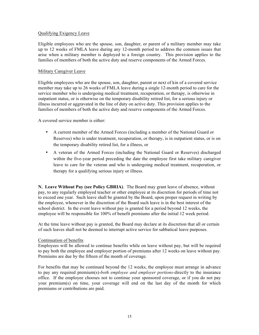#### Qualifying Exigency Leave

Eligible employees who are the spouse, son, daughter, or parent of a military member may take up to 12 weeks of FMLA leave during any 12-month period to address the common issues that arise when a military member is deployed to a foreign country. This provision applies to the families of members of both the active duty and reserve components of the Armed Forces.

#### Military Caregiver Leave

Eligible employees who are the spouse, son, daughter, parent or next of kin of a covered service member may take up to 26 weeks of FMLA leave during a single 12-month period to care for the service member who is undergoing medical treatment, recuperation, or therapy, is otherwise in outpatient status, or is otherwise on the temporary disability retired list, for a serious injury or illness incurred or aggravated in the line of duty on active duty. This provision applies to the families of members of both the active duty and reserve components of the Armed Forces.

A covered service member is either:

- A current member of the Armed Forces (including a member of the National Guard or Reserves) who is under treatment, recuperation, or therapy, is in outpatient status, or is on the temporary disability retired list, for a illness, or
- A veteran of the Armed Forces (including the National Guard or Reserves) discharged within the five-year period preceding the date the employee first take military caregiver leave to care for the veteran and who is undergoing medical treatment, recuperation, or therapy for a qualifying serious injury or illness.

**N. Leave Without Pay (see Policy GBRIA)**. The Board may grant leave of absence, without pay, to any regularly employed teacher or other employee at its discretion for periods of time not to exceed one year. Such leave shall be granted by the Board, upon proper request in writing by the employee, whenever in the discretion of the Board such leave is in the best interest of the school district. In the event leave without pay is granted for a period beyond 12 weeks, the employee will be responsible for 100% of benefit premiums after the initial 12 week period.

At the time leave without pay is granted, the Board may declare at its discretion that all or certain of such leaves shall not be deemed to interrupt active service for sabbatical leave purposes.

#### Continuation of benefits

Employees will be allowed to continue benefits while on leave without pay, but will be required to pay both the employee and employer portion of premiums after 12 weeks on leave without pay. Premiums are due by the fifteen of the month of coverage.

For benefits that may be continued beyond the 12 weeks, the employee must arrange in advance to pay any required premium(s)-*both employee and employer portions-*directly to the insurance office. If the employee chooses not to continue your sponsored coverage, or if you do not pay your premium(s) on time, your coverage will end on the last day of the month for which premiums or contributions are paid.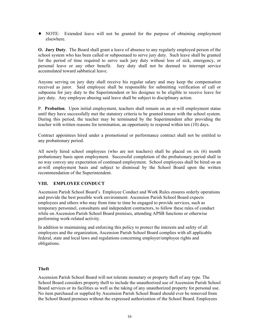♦ NOTE: Extended leave will not be granted for the purpose of obtaining employment elsewhere.

**O. Jury Duty**. The Board shall grant a leave of absence to any regularly employed person of the school system who has been called or subpoenaed to serve jury duty. Such leave shall be granted for the period of time required to serve such jury duty without loss of sick, emergency, or personal leave or any other benefit. Jury duty shall not be deemed to interrupt service accumulated toward sabbatical leave.

Anyone serving on jury duty shall receive his regular salary and may keep the compensation received as juror. Said employee shall be responsible for submitting verification of call or subpoena for jury duty to the Superintendent or his designee to be eligible to receive leave for jury duty. Any employee abusing said leave shall be subject to disciplinary action.

P. **Probation**. Upon initial employment, teachers shall remain on an at-will employment status until they have successfully met the statutory criteria to be granted tenure with the school system. During this period, the teacher may be terminated by the Superintendent after providing the teacher with written reasons for termination, an opportunity to respond within ten (10) days.

Contract appointees hired under a promotional or performance contract shall not be entitled to any probationary period.

All newly hired school employees (who are not teachers) shall be placed on six (6) month probationary basis upon employment. Successful completion of the probationary period shall in no way convey any expectation of continued employment. School employees shall be hired on an at-will employment basis and subject to dismissal by the School Board upon the written recommendation of the Superintendent.

## **VIII. EMPLOYEE CONDUCT**

Ascension Parish School Board's Employee Conduct and Work Rules ensures orderly operations and provide the best possible work environment. Ascension Parish School Board expects employees and others who may from time to time be engaged to provide services, such as temporary personnel, consultants and independent contractors, to follow these rules of conduct while on Ascension Parish School Board premises, attending APSB functions or otherwise performing work-related activity.

In addition to maintaining and enforcing this policy to protect the interests and safety of all employees and the organization, Ascension Parish School Board complies with all applicable federal, state and local laws and regulations concerning employer/employee rights and obligations.

## **Theft**

Ascension Parish School Board will not tolerate monetary or property theft of any type. The School Board considers property theft to include the unauthorized use of Ascension Parish School Board services or its facilities as well as the taking of any unauthorized property for personal use. No item purchased or supplied by Ascension Parish School Board should ever be removed from the School Board premises without the expressed authorization of the School Board. Employees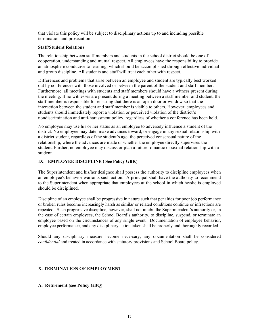that violate this policy will be subject to disciplinary actions up to and including possible termination and prosecution.

#### **Staff/Student Relations**

The relationship between staff members and students in the school district should be one of cooperation, understanding and mutual respect. All employees have the responsibility to provide an atmosphere conducive to learning, which should be accomplished through effective individual and group discipline. All students and staff will treat each other with respect.

Differences and problems that arise between an employee and student are typically best worked out by conferences with those involved or between the parent of the student and staff member. Furthermore, all meetings with students and staff members should have a witness present during the meeting. If no witnesses are present during a meeting between a staff member and student, the staff member is responsible for ensuring that there is an open door or window so that the interaction between the student and staff member is visible to others. However, employees and students should immediately report a violation or perceived violation of the district's nondiscrimination and anti-harassment policy, regardless of whether a conference has been held.

No employee may use his or her status as an employee to adversely influence a student of the district. No employee may date, make advances toward, or engage in any sexual relationship with a district student, regardless of the student's age, the perceived consensual nature of the relationship, where the advances are made or whether the employee directly supervises the student. Further, no employee may discuss or plan a future romantic or sexual relationship with a student.

## **IX**. **EMPLOYEE DISCIPLINE ( See Policy GBK)**

The Superintendent and his/her designee shall possess the authority to discipline employees when an employee's behavior warrants such action. A principal shall have the authority to recommend to the Superintendent when appropriate that employees at the school in which he/she is employed should be disciplined.

Discipline of an employee shall be progressive in nature such that penalties for poor job performance or broken rules become increasingly harsh as similar or related conditions continue or infractions are repeated. Such progressive discipline, however, shall not inhibit the Superintendent's authority or, in the case of certain employees, the School Board's authority, to discipline, suspend, or terminate an employee based on the circumstances of any single event. Documentation of employee behavior, employee performance, and any disciplinary action taken shall be properly and thoroughly recorded.

Should any disciplinary measure become necessary, any documentation shall be considered *confidential* and treated in accordance with statutory provisions and School Board policy.

## **X. TERMINATION OF EMPLOYMENT**

**A. Retirement (see Policy GBQ)**.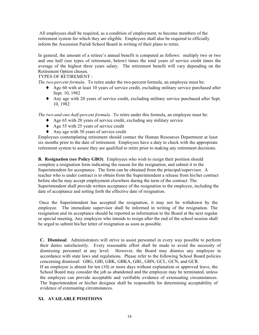All employees shall be required, as a condition of employment, to become members of the retirement system for which they are eligible. Employees shall also be required to officially inform the Ascension Parish School Board in writing of their plans to retire.

In general, the amount of a retiree's annual benefit is computed as follows: multiply two or two and one half (see types of retirement, below) times the total years of service credit times the average of the highest three years salary. The retirement benefit will vary depending on the Retirement Option chosen.

TYPES OF RETIREMENT -

*The two-percent formula*. To retire under the two-percent formula, an employee must be:

- $\triangle$  Age 60 with at least 10 years of service credit, excluding military service purchased after Sept. 10, 1982
- ♦ Any age with 20 years of service credit, excluding military service purchased after Sept. 10, 1982

*The two-and-one-half-percent formula.* To retire under this formula, an employee must be:

- ♦ Age 65 with 20 years of service credit, excluding any military service
- ♦ Age 55 with 25 years of service credit
- ♦ Any age with 30 years of service credit

Employees contemplating retirement should contact the Human Resources Department at least six months prior to the date of retirement. Employees have a duty to check with the appropriate retirement system to assure they are qualified to retire prior to making any retirement decisions.

**B. Resignation (see Policy GBO)**. Employees who wish to resign their position should complete a resignation form indicating the reason for the resignation, and submit it to the Superintendent for acceptance. The form can be obtained from the principal/supervisor. A teacher who is under contract is to obtain from the Superintendent a release from his/her contract before she/he may accept employment elsewhere during the term of the contract. The Superintendent shall provide written acceptance of the resignation to the employee, including the date of acceptance and setting forth the effective date of resignation.

Once the Superintendent has accepted the resignation, it may not be withdrawn by the employee. The immediate supervisor shall be informed in writing of the resignation. The resignation and its acceptance should be reported as information to the Board at the next regular or special meeting. Any employee who intends to resign after the end of the school session shall be urged to submit his/her letter of resignation as soon as possible.

**C. Dismissal**. Administrators will strive to assist personnel in every way possible to perform their duties satisfactorily. Every reasonable effort shall be made to avoid the necessity of dismissing personnel at any level. However, the Board may dismiss any employee in accordance with state laws and regulations. Please refer to the following School Board policies concerning dismissal: GBG, GBI, GBK, GBKA, GBL, GBN, GCL, GCN, and GCR. If an employee is absent for ten (10) or more days without explanation or approved leave, the School Board may consider the job as abandoned and the employee may be terminated, unless the employee can provide acceptable and verifiable evidence of extenuating circumstances. The Superintendent or his/her designee shall be responsible for determining acceptability of evidence of extenuating circumstances.

## **XI. AVAILABLE POSITIONS**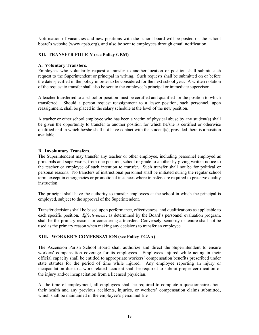Notification of vacancies and new positions with the school board will be posted on the school board's website (www.apsb.org), and also be sent to employees through email notification.

## **XII. TRANSFER POLICY (see Policy GBM)**

## **A. Voluntary Transfers**.

Employees who voluntarily request a transfer to another location or position shall submit such request to the Superintendent or principal in writing. Such requests shall be submitted on or before the date specified in the policy in order to be considered for the next school year. A written notation of the request to transfer shall also be sent to the employee's principal or immediate supervisor.

A teacher transferred to a school or position must be certified and qualified for the position to which transferred. Should a person request reassignment to a lesser position, such personnel, upon reassignment, shall be placed in the salary schedule at the level of the new position.

A teacher or other school employee who has been a victim of physical abuse by any student(s) shall be given the opportunity to transfer to another position for which he/she is certified or otherwise qualified and in which he/she shall not have contact with the student(s), provided there is a position available.

## **B. Involuntary Transfers**.

The Superintendent may transfer any teacher or other employee, including personnel employed as principals and supervisors, from one position, school or grade to another by giving written notice to the teacher or employee of such intention to transfer. Such transfer shall not be for political or personal reasons. No transfers of instructional personnel shall be initiated during the regular school term, except in emergencies or promotional instances where transfers are required to preserve quality instruction.

The principal shall have the authority to transfer employees at the school in which the principal is employed, subject to the approval of the Superintendent.

Transfer decisions shall be based upon performance, effectiveness, and qualifications as applicable to each specific position. *Effectiveness*, as determined by the Board's personnel evaluation program, shall be the primary reason for considering a transfer. Conversely, seniority or tenure shall not be used as the primary reason when making any decisions to transfer an employee.

## **XIII. WORKER'S COMPENSATION (see Policy EGAA)**

The Ascension Parish School Board shall authorize and direct the Superintendent to ensure workers' compensation coverage for its employees. Employees injured while acting in their official capacity shall be entitled to appropriate workers' compensation benefits prescribed under state statutes for the period of time while injured. Any employee reporting an injury or incapacitation due to a work-related accident shall be required to submit proper certification of the injury and/or incapacitation from a licensed physician.

At the time of employment, all employees shall be required to complete a questionnaire about their health and any previous accidents, injuries, or workers' compensation claims submitted, which shall be maintained in the employee's personnel file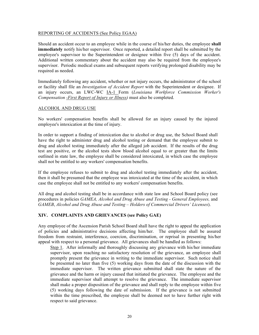#### REPORTING OF ACCIDENTS (See Policy EGAA)

Should an accident occur to an employee while in the course of his/her duties, the employee **shall immediately** notify his/her supervisor. Once reported, a detailed report shall be submitted by the employee's supervisor to the Superintendent or designee within five (5) days of the accident. Additional written commentary about the accident may also be required from the employee's supervisor. Periodic medical exams and subsequent reports verifying prolonged disability may be required as needed.

Immediately following any accident, whether or not injury occurs, the administrator of the school or facility shall file an *Investigation of Accident Report* with the Superintendent or designee. If an injury occurs, an LWC-WC IA-1 Form (*Louisiana Workforce Commission Worker's Compensation -First Report of Injury or Illness)* must also be completed.

## ALCOHOL AND DRUG USE

No workers' compensation benefits shall be allowed for an injury caused by the injured employee's intoxication at the time of injury.

In order to support a finding of intoxication due to alcohol or drug use, the School Board shall have the right to administer drug and alcohol testing or demand that the employee submit to drug and alcohol testing immediately after the alleged job accident. If the results of the drug test are positive, or the alcohol tests show blood alcohol equal to or greater than the limits outlined in state law, the employee shall be considered intoxicated, in which case the employee shall not be entitled to any workers' compensation benefits.

If the employee refuses to submit to drug and alcohol testing immediately after the accident, then it shall be presumed that the employee was intoxicated at the time of the accident, in which case the employee shall not be entitled to any workers' compensation benefits.

All drug and alcohol testing shall be in accordance with state law and School Board policy (see procedures in policies *GAMEA, Alcohol and Drug Abuse and Testing - General Employees,* and *GAMEB*, *Alcohol and Drug Abuse and Testing – Holders of Commercial Drivers' Licenses*).

## **XIV. COMPLAINTS AND GRIEVANCES (see Policy GAE)**

Any employee of the Ascension Parish School Board shall have the right to appeal the application of policies and administrative decisions affecting him/her. The employee shall be assured freedom from restraint, interference, coercion, discrimination, or reprisal in presenting his/her appeal with respect to a personal grievance. All grievances shall be handled as follows:

Step 1. After informally and thoroughly discussing any grievance with his/her immediate supervisor, upon reaching no satisfactory resolution of the grievance, an employee shall promptly present the grievance in writing to the immediate supervisor. Such notice shall be presented no later than five (5) working days from the date of the discussion with the immediate supervisor. The written grievance submitted shall state the nature of the grievance and the harm or injury caused that initiated the grievance. The employee and the immediate supervisor shall attempt to resolve the grievance. The immediate supervisor shall make a proper disposition of the grievance and shall reply to the employee within five (5) working days following the date of submission. If the grievance is not submitted within the time prescribed, the employee shall be deemed not to have further right with respect to said grievance.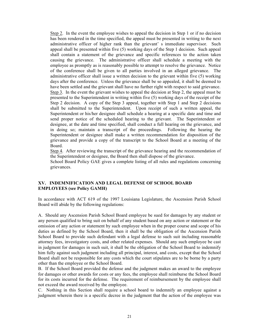Step 2. In the event the employee wishes to appeal the decision in Step 1 or if no decision has been rendered in the time specified, the appeal must be presented in writing to the next administrative officer of higher rank than the grievant' s immediate supervisor. Such appeal shall be presented within five (5) working days of the Step 1 decision. Such appeal shall contain a statement of the grievance and specific references to the action taken causing the grievance. The administrative officer shall schedule a meeting with the employee as promptly as is reasonably possible to attempt to resolve the grievance. Notice of the conference shall be given to all parties involved in an alleged grievance. The administrative officer shall issue a written decision to the grievant within five (5) working days after the conference. Unless the grievance shall be so appealed, it shall be deemed to have been settled and the grievant shall have no further right with respect to said grievance. Step 3. In the event the grievant wishes to appeal the decision at Step 2, the appeal must be presented to the Superintendent in writing within five (5) working days of the receipt of the Step 2 decision. A copy of the Step 3 appeal, together with Step 1 and Step 2 decisions shall be submitted to the Superintendent. Upon receipt of such a written appeal, the Superintendent or his/her designee shall schedule a hearing at a specific date and time and send proper notice of the scheduled hearing to the grievant. The Superintendent or designee, at the date and time specified, shall conduct a full hearing on the grievance, and in doing so; maintain a transcript of the proceedings. Following the hearing the Superintendent or designee shall make a written recommendation for disposition of the grievance and provide a copy of the transcript to the School Board at a meeting of the Board.

Step 4. After reviewing the transcript of the grievance hearing and the recommendation of the Superintendent or designee, the Board then shall dispose of the grievance.

School Board Policy GAE gives a complete listing of all rules and regulations concerning grievances.

## **XV. INDEMNIFICATION AND LEGAL DEFENSE OF SCHOOL BOARD EMPLOYEES (see Policy GAMH)**

In accordance with ACT 619 of the 1997 Louisiana Legislature, the Ascension Parish School Board will abide by the following regulations:

A. Should any Ascension Parish School Board employee be sued for damages by any student or any person qualified to bring suit on behalf of any student based on any action or statement or the omission of any action or statement by such employee when in the proper course and scope of his duties as defined by the School Board, then it shall be the obligation of the Ascension Parish School Board to provide such defendant with a legal defense to such suit including reasonable attorney fees, investigatory costs, and other related expenses. Should any such employee be cast in judgment for damages in such suit, it shall be the obligation of the School Board to indemnify him fully against such judgment including all principal, interest, and costs, except that the School Board shall not be responsible for any costs which the court stipulates are to be borne by a party other than the employee or the School Board.

B. If the School Board provided the defense and the judgment makes an award to the employee for damages or other awards for costs or any fees, the employee shall reimburse the School Board for its costs incurred for the defense. The requirement of reimbursement by the employee shall not exceed the award received by the employee.

C. Nothing in this Section shall require a school board to indemnify an employee against a judgment wherein there is a specific decree in the judgment that the action of the employee was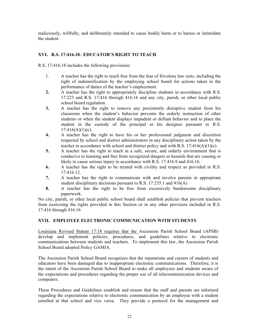maliciously, willfully, and deliberately intended to cause bodily harm or to harass or intimidate the student.

## **XVI. R.S. 17:416.18– EDUCATOR'S RIGHT TO TEACH**

R.S. 17:416.18 includes the following provisions:

- 1. A teacher has the right to teach free from the fear of frivolous law suits, including the right of indemnification by the employing school board for actions taken in the performance of duties of the teacher's employment.
- **2.** A teacher has the right to appropriately discipline students in accordance with R.S. 17:223 and R.S. 17:416 through 416.16 and any city, parish, or other local public school board regulation.
- **3.** A teacher has the right to remove any persistently disruptive student from his classroom when the student's behavior prevents the orderly instruction of other students or when the student displays impudent or defiant behavior and to place the student in the custody of the principal or his designee pursuant to R.S.  $17:416(A)(1)(c)$ .
- **4.** A teacher has the right to have his or her professional judgment and discretion respected by school and district administrators in any disciplinary action taken by the teacher in accordance with school and district policy and with R.S.  $17:416(A)(1)(c)$ .
- **5.** A teacher has the right to teach in a safe, secure, and orderly environment that is conducive to learning and free from recognized dangers or hazards that are causing or likely to cause serious injury in accordance with R.S. 17:416.9 and 416.16.
- **6.** A teacher has the right to be treated with civility and respect as provided in R.S. 17:416.12.
- **7.** A teacher has the right to communicate with and involve parents in appropriate student disciplinary decisions pursuant to R.S. 17:235.1 and 416(A)
- **8.** A teacher has the right to be free from excessively burdensome disciplinary paperwork.

No city, parish, or other local public school board shall establish policies that prevent teachers from exercising the rights provided in this Section or in any other provision included in R.S. 17:416 through 416.16

## **XVII. EMPLOYEE ELECTRONIC COMMUNICATION WITH STUDENTS**

Louisiana Revised Statute 17:18 requires that the Ascension Parish School Board (APSB) develop and implement policies, procedures, and guidelines relative to electronic communications between students and teachers. To implement this law, the Ascension Parish School Board adopted Policy GAMIA.

The Ascension Parish School Board recognizes that the reputations and careers of students and educators have been damaged due to inappropriate electronic communications. Therefore, it is the intent of the Ascension Parish School Board to make all employees and students aware of the expectations and procedures regarding the proper use of all telecommunication devices and computers.

These Procedures and Guidelines establish and ensure that the staff and parents are informed regarding the expectations relative to electronic communication by an employee with a student enrolled at that school and vice versa. They provide a protocol for the management and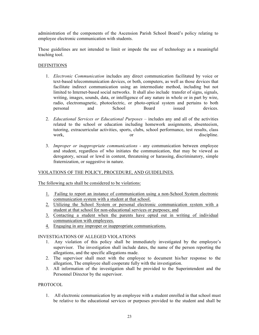administration of the components of the Ascension Parish School Board's policy relating to employee electronic communication with students.

These guidelines are not intended to limit or impede the use of technology as a meaningful teaching tool.

## **DEFINITIONS**

- 1. *Electronic Communication* includes any direct communication facilitated by voice or text-based telecommunication devices, or both, computers, as well as those devices that facilitate indirect communication using an intermediate method, including but not limited to Internet-based social networks. It shall also include transfer of signs, signals, writing, images, sounds, data, or intelligence of any nature in whole or in part by wire, radio, electromagnetic, photoelectric, or photo-optical system and pertains to both personal and School Board issued devices.
- 2. *Educational Services or Educational Purposes –* includes any and all of the activities related to the school or education including homework assignments, absenteeism, tutoring, extracurricular activities, sports, clubs, school performance, test results, class work, or discipline.
- 3. *Improper or inappropriate communications* any communication between employee and student, regardless of who initiates the communication, that may be viewed as derogatory, sexual or lewd in content, threatening or harassing, discriminatory, simple fraternization, or suggestive in nature.

## VIOLATIONS OF THE POLICY, PROCEDURE, AND GUIDELINES.

The following acts shall be considered to be violations:

- 1. Failing to report an instance of communication using a non-School System electronic communication system with a student at that school.
- 2. Utilizing the School System or personal electronic communication system with a student at that school for non-educational services or purposes; and
- 3. Contacting a student when the parents have opted out in writing of individual communication with employees.
- 4. Engaging in any improper or inappropriate communications.

## INVESTIGATIONS OF ALLEGED VIOLATIONS

- 1. Any violation of this policy shall be immediately investigated by the employee's supervisor. The investigation shall include dates, the name of the person reporting the allegations, and the specific allegations made.
- 2. The supervisor shall meet with the employee to document his/her response to the allegation, The employee shall cooperate fully with the investigation.
- 3. All information of the investigation shall be provided to the Superintendent and the Personnel Director by the supervisor.

## PROTOCOL

1. All electronic communication by an employee with a student enrolled in that school must be relative to the educational services or purposes provided to the student and shall be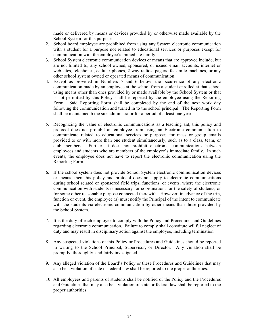made or delivered by means or devices provided by or otherwise made available by the School System for this purpose.

- 2. School board employee are prohibited from using any System electronic communication with a student for a purpose not related to educational services or purposes except for communication with the employee's immediate family.
- 3. School System electronic communication devices or means that are approved include, but are not limited to, any school owned, sponsored, or issued email accounts, internet or web-sites, telephones, cellular phones, 2 way radios, pagers, facsimile machines, or any other school system owned or operated means of communication.
- 4. Except as provided in Numbers 5 and 6 below, the occurrence of any electronic communication made by an employee at the school from a student enrolled at that school using means other than ones provided by or made available by the School System or that is not permitted by this Policy shall be reported by the employee using the Reporting Form. Said Reporting Form shall be completed by the end of the next work day following the communication and turned in to the school principal. The Reporting Form shall be maintained b the site administrator for a period of a least one year.
- 5. Recognizing the value of electronic communications as a teaching aid, this policy and protocol does not prohibit an employee from using an Electronic communication to communicate related to educational services or purposes for mass or group emails provided to or with more than one student simultaneously, such as to a class, team, or club members. Further, it does not prohibit electronic communications between employees and students who are members of the employee's immediate family. In such events, the employee does not have to report the electronic communication using the Reporting Form.
- 6. If the school system does not provide School System electronic communication devices or means, then this policy and protocol does not apply to electronic communications during school related or sponsored field trips, functions, or events, where the electronic communication with students is necessary for coordination, for the safety of students, or for some other reasonable purpose connected therewith. However, in advance of the trip, function or event, the employee (s) must notify the Principal of the intent to communicate with the students via electronic communication by other means than those provided by the School System.
- 7. It is the duty of each employee to comply with the Policy and Procedures and Guidelines regarding electronic communication. Failure to comply shall constitute willful neglect of duty and may result in disciplinary action against the employee, including termination.
- 8. Any suspected violations of this Policy or Procedures and Guidelines should be reported in writing to the School Principal, Supervisor, or Director. Any violation shall be promptly, thoroughly, and fairly investigated.
- 9. Any alleged violation of the Board's Policy or these Procedures and Guidelines that may also be a violation of state or federal law shall be reported to the proper authorities.
- 10. All employees and parents of students shall be notified of the Policy and the Procedures and Guidelines that may also be a violation of state or federal law shall be reported to the proper authorities.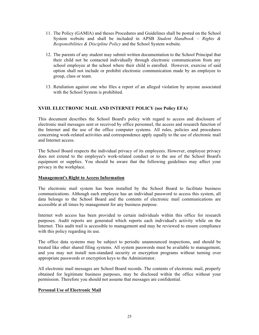- 11. The Policy (GAMIA) and theses Procedures and Guidelines shall be posted on the School System website and shall be included in APSB *Student Handbook – Rights & Responsibilities & Discipline Policy* and the School System website.
- 12. The parents of any student may submit written documentation to the School Principal that their child not be contacted individually through electronic communication from any school employee at the school where their child is enrolled. However, exercise of said option shall not include or prohibit electronic communication made by an employee to group, class or team.
- 13. Retaliation against one who files a report of an alleged violation by anyone associated with the School System is prohibited.

## **XVIII. ELECTRONIC MAIL AND INTERNET POLICY (see Policy EFA)**

This document describes the School Board's policy with regard to access and disclosure of electronic mail messages sent or received by office personnel, the access and research function of the Internet and the use of the office computer systems. All rules, policies and procedures concerning work-related activities and correspondence apply equally to the use of electronic mail and Internet access.

The School Board respects the individual privacy of its employees. However, employee privacy does not extend to the employee's work-related conduct or to the use of the School Board's equipment or supplies. You should be aware that the following guidelines may affect your privacy in the workplace.

## **Management's Right to Access Information**

The electronic mail system has been installed by the School Board to facilitate business communications. Although each employee has an individual password to access this system, all data belongs to the School Board and the contents of electronic mail communications are accessible at all times by management for any business purpose.

Internet web access has been provided to certain individuals within this office for research purposes. Audit reports are generated which reports each individual's activity while on the Internet. This audit trail is accessible to management and may be reviewed to ensure compliance with this policy regarding its use.

The office data systems may be subject to periodic unannounced inspections, and should be treated like other shared filing systems. All system passwords must be available to management, and you may not install non-standard security or encryption programs without turning over appropriate passwords or encryption keys to the Administrator.

All electronic mail messages are School Board records. The contents of electronic mail, properly obtained for legitimate business purposes, may be disclosed within the office without your permission. Therefore you should not assume that messages are confidential.

## **Personal Use of Electronic Mail**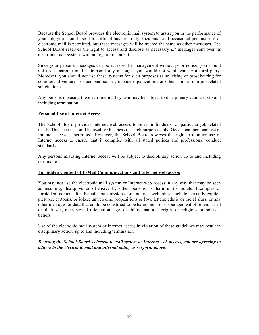Because the School Board provides the electronic mail system to assist you in the performance of your job, you should use it for official business only. Incidental and occasional personal use of electronic mail is permitted, but these messages will be treated the same as other messages. The School Board reserves the right to access and disclose as necessary *all* messages sent over its electronic mail system, without regard to content.

Since your personal messages can be accessed by management without prior notice, you should not use electronic mail to transmit any messages you would not want read by a third party. Moreover, you should not use these systems for such purposes as soliciting or proselytizing for commercial ventures, or personal causes, outside organizations or other similar, non-job-related solicitations.

Any persons misusing the electronic mail system may be subject to disciplinary action, up to and including termination.

## **Personal Use of Internet Access**

The School Board provides Internet web access to select individuals for particular job related needs. This access should be used for business research purposes only. Occasional personal use of Internet access is permitted. However, the School Board reserves the right to monitor use of Internet access to ensure that it complies with all stated polices and professional conduct standards.

Any persons misusing Internet access will be subject to disciplinary action up to and including termination.

## **Forbidden Content of E-Mail Communications and Internet web access**

You may not use the electronic mail system or Internet web access in any way that may be seen as insulting, disruptive or offensive by other persons, or harmful to morale. Examples of forbidden content for E-mail transmissions or Internet web sites include sexually-explicit pictures, cartoons, or jokes; unwelcome propositions or love letters; ethnic or racial slurs; or any other messages or data that could be construed to be harassment or disparagement of others based on their sex, race, sexual orientation, age, disability, national origin, or religious or political beliefs.

Use of the electronic mail system or Internet access in violation of these guidelines may result in disciplinary action, up to and including termination.

## *By using the School Board's electronic mail system or Internet web access, you are agreeing to adhere to the electronic mail and internal policy as set forth above.*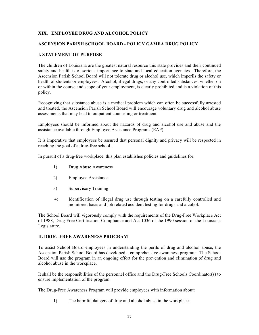## **XIX. EMPLOYEE DRUG AND ALCOHOL POLICY**

#### **ASCENSION PARISH SCHOOL BOARD - POLICY GAMEA DRUG POLICY**

## **I. STATEMENT OF PURPOSE**

The children of Louisiana are the greatest natural resource this state provides and their continued safety and health is of serious importance to state and local education agencies. Therefore, the Ascension Parish School Board will not tolerate drug or alcohol use, which imperils the safety or health of students or employees. Alcohol, illegal drugs, or any controlled substances, whether on or within the course and scope of your employment, is clearly prohibited and is a violation of this policy.

Recognizing that substance abuse is a medical problem which can often be successfully arrested and treated, the Ascension Parish School Board will encourage voluntary drug and alcohol abuse assessments that may lead to outpatient counseling or treatment.

Employees should be informed about the hazards of drug and alcohol use and abuse and the assistance available through Employee Assistance Programs (EAP).

It is imperative that employees be assured that personal dignity and privacy will be respected in reaching the goal of a drug-free school.

In pursuit of a drug-free workplace, this plan establishes policies and guidelines for:

- 1) Drug Abuse Awareness
- 2) Employee Assistance
- 3) Supervisory Training
- 4) Identification of illegal drug use through testing on a carefully controlled and monitored basis and job related accident testing for drugs and alcohol.

The School Board will vigorously comply with the requirements of the Drug-Free Workplace Act of 1988, Drug-Free Certification Compliance and Act 1036 of the 1990 session of the Louisiana Legislature.

#### **II. DRUG-FREE AWARENESS PROGRAM**

To assist School Board employees in understanding the perils of drug and alcohol abuse, the Ascension Parish School Board has developed a comprehensive awareness program. The School Board will use the program in an ongoing effort for the prevention and elimination of drug and alcohol abuse in the workplace.

It shall be the responsibilities of the personnel office and the Drug-Free Schools Coordinator(s) to ensure implementation of the program.

The Drug-Free Awareness Program will provide employees with information about:

1) The harmful dangers of drug and alcohol abuse in the workplace.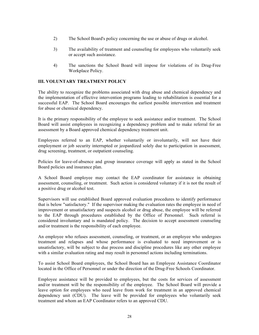- 2) The School Board's policy concerning the use or abuse of drugs or alcohol.
- 3) The availability of treatment and counseling for employees who voluntarily seek or accept such assistance.
- 4) The sanctions the School Board will impose for violations of its Drug-Free Workplace Policy.

## **III. VOLUNTARY TREATMENT POLICY**

The ability to recognize the problems associated with drug abuse and chemical dependency and the implementation of effective intervention programs leading to rehabilitation is essential for a successful EAP. The School Board encourages the earliest possible intervention and treatment for abuse or chemical dependency.

It is the primary responsibility of the employee to seek assistance and/or treatment. The School Board will assist employees in recognizing a dependency problem and to make referral for an assessment by a Board approved chemical dependency treatment unit.

Employees referred to an EAP, whether voluntarily or involuntarily, will not have their employment or job security interrupted or jeopardized solely due to participation in assessment, drug screening, treatment, or outpatient counseling.

Policies for leave-of-absence and group insurance coverage will apply as stated in the School Board policies and insurance plan.

A School Board employee may contact the EAP coordinator for assistance in obtaining assessment, counseling, or treatment. Such action is considered voluntary if it is not the result of a positive drug or alcohol test.

Supervisors will use established Board approved evaluation procedures to identify performance that is below "satisfactory." If the supervisor making the evaluation rates the employee in need of improvement or unsatisfactory and suspects alcohol or drug abuse, the employee will be referred to the EAP through procedures established by the Office of Personnel. Such referral is considered involuntary and is mandated policy. The decision to accept assessment counseling and/or treatment is the responsibility of each employee.

An employee who refuses assessment, counseling, or treatment, or an employee who undergoes treatment and relapses and whose performance is evaluated to need improvement or is unsatisfactory, will be subject to due process and discipline procedures like any other employee with a similar evaluation rating and may result in personnel actions including terminations.

To assist School Board employees, the School Board has an Employee Assistance Coordinator located in the Office of Personnel or under the direction of the Drug-Free Schools Coordinator.

Employee assistance will be provided to employees, but the costs for services of assessment and/or treatment will be the responsibility of the employee. The School Board will provide a leave option for employees who need leave from work for treatment in an approved chemical dependency unit (CDU). The leave will be provided for employees who voluntarily seek treatment and whom an EAP Coordinator refers to an approved CDU.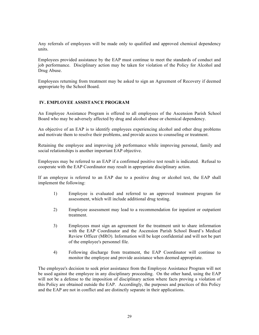Any referrals of employees will be made only to qualified and approved chemical dependency units.

Employees provided assistance by the EAP must continue to meet the standards of conduct and job performance. Disciplinary action may be taken for violation of the Policy for Alcohol and Drug Abuse.

Employees returning from treatment may be asked to sign an Agreement of Recovery if deemed appropriate by the School Board.

## **IV. EMPLOYEE ASSISTANCE PROGRAM**

An Employee Assistance Program is offered to all employees of the Ascension Parish School Board who may be adversely affected by drug and alcohol abuse or chemical dependency.

An objective of an EAP is to identify employees experiencing alcohol and other drug problems and motivate them to resolve their problems, and provide access to counseling or treatment.

Retaining the employee and improving job performance while improving personal, family and social relationships is another important EAP objective.

Employees may be referred to an EAP if a confirmed positive test result is indicated. Refusal to cooperate with the EAP Coordinator may result in appropriate disciplinary action.

If an employee is referred to an EAP due to a positive drug or alcohol test, the EAP shall implement the following:

- 1) Employee is evaluated and referred to an approved treatment program for assessment, which will include additional drug testing.
- 2) Employee assessment may lead to a recommendation for inpatient or outpatient treatment.
- 3) Employees must sign an agreement for the treatment unit to share information with the EAP Coordinator and the Ascension Parish School Board's Medical Review Officer (MRO). Information will be kept confidential and will not be part of the employee's personnel file.
- 4) Following discharge from treatment, the EAP Coordinator will continue to monitor the employee and provide assistance when deemed appropriate.

The employee's decision to seek prior assistance from the Employee Assistance Program will not be used against the employee in any disciplinary proceeding. On the other hand, using the EAP will not be a defense to the imposition of disciplinary action where facts proving a violation of this Policy are obtained outside the EAP. Accordingly, the purposes and practices of this Policy and the EAP are not in conflict and are distinctly separate in their applications.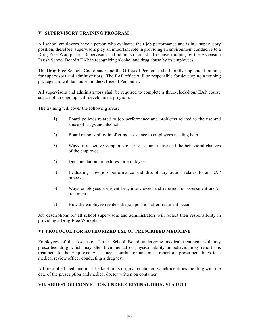## **V. SUPERVISORY TRAINING PROGRAM**

All school employees have a person who evaluates their job performance and is in a supervisory position; therefore, supervisors play an important role in providing an environment conducive to a Drug-Free Workplace. Supervisors and administrators shall receive training by the Ascension Parish School Board's EAP in recognizing alcohol and drug abuse by its employees.

The Drug-Free Schools Coordinator and the Office of Personnel shall jointly implement training for supervisors and administrators. The EAP office will be responsible for developing a training package and will be housed in the Office of Personnel.

All supervisors and administrators shall be required to complete a three-clock-hour EAP course as part of an ongoing staff development program.

The training will cover the following areas:

- 1) Board policies related to job performance and problems related to the use and abuse of drugs and alcohol.
- 2) Board responsibility in offering assistance to employees needing help.
- 3) Ways to recognize symptoms of drug use and abuse and the behavioral changes of the employee.
- 4) Documentation procedures for employees.
- 5) Evaluating how job performance and disciplinary action relates to an EAP process.
- 6) Ways employees are identified, interviewed and referred for assessment and/or treatment.
- 7) How the employee reenters the job position after treatment occurs.

Job descriptions for all school supervisors and administrators will reflect their responsibility in providing a Drug-Free Workplace.

## **VI. PROTOCOL FOR AUTHORIZED USE OF PRESCRIBED MEDICINE**

Employees of the Ascension Parish School Board undergoing medical treatment with any prescribed drug which may alter their mental or physical ability or behavior may report this treatment to the Employee Assistance Coordinator and must report all prescribed drugs to a medical review officer conducting a drug test.

All prescribed medicine must be kept in its original container, which identifies the drug with the date of the prescription and medical doctor written on container.

## **VII. ARREST OR CONVICTION UNDER CRIMINAL DRUG STATUTE**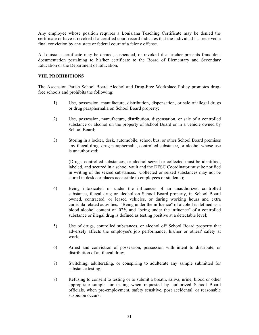Any employee whose position requires a Louisiana Teaching Certificate may be denied the certificate or have it revoked if a certified court record indicates that the individual has received a final conviction by any state or federal court of a felony offense.

A Louisiana certificate may be denied, suspended, or revoked if a teacher presents fraudulent documentation pertaining to his/her certificate to the Board of Elementary and Secondary Education or the Department of Education.

## **VIII. PROHIBITIONS**

The Ascension Parish School Board Alcohol and Drug-Free Workplace Policy promotes drugfree schools and prohibits the following:

- 1) Use, possession, manufacture, distribution, dispensation, or sale of illegal drugs or drug paraphernalia on School Board property;
- 2) Use, possession, manufacture, distribution, dispensation, or sale of a controlled substance or alcohol on the property of School Board or in a vehicle owned by School Board;
- 3) Storing in a locker, desk, automobile, school bus, or other School Board premises any illegal drug, drug paraphernalia, controlled substance, or alcohol whose use is unauthorized;

(Drugs, controlled substances, or alcohol seized or collected must be identified, labeled, and secured in a school vault and the DFSC Coordinator must be notified in writing of the seized substances. Collected or seized substances may not be stored in desks or places accessible to employees or students);

- 4) Being intoxicated or under the influences of an unauthorized controlled substance, illegal drug or alcohol on School Board property, in School Board owned, contracted, or leased vehicles, or during working hours and extra curricula related activities. "Being under the influence" of alcohol is defined as a blood alcohol content of .02% and "being under the influence" of a controlled substance or illegal drug is defined as testing positive at a detectable level;
- 5) Use of drugs, controlled substances, or alcohol off School Board property that adversely affects the employee's job performance, his/her or others' safety at work;
- 6) Arrest and conviction of possession, possession with intent to distribute, or distribution of an illegal drug;
- 7) Switching, adulterating, or conspiring to adulterate any sample submitted for substance testing;
- 8) Refusing to consent to testing or to submit a breath, saliva, urine, blood or other appropriate sample for testing when requested by authorized School Board officials, when pre-employment, safety sensitive, post accidental, or reasonable suspicion occurs;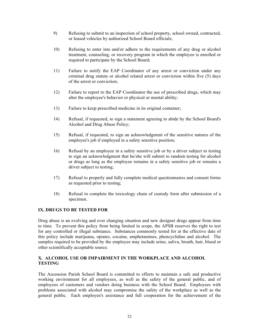- 9) Refusing to submit to an inspection of school property, school owned, contracted, or leased vehicles by authorized School Board officials;
- 10) Refusing to enter into and/or adhere to the requirements of any drug or alcohol treatment, counseling, or recovery program in which the employee is enrolled or required to participate by the School Board;
- 11) Failure to notify the EAP Coordinator of any arrest or conviction under any criminal drug statute or alcohol related arrest or conviction within five (5) days of the arrest or conviction;
- 12) Failure to report to the EAP Coordinator the use of prescribed drugs, which may alter the employee's behavior or physical or mental ability;
- 13) Failure to keep prescribed medicine in its original container;
- 14) Refusal, if requested, to sign a statement agreeing to abide by the School Board's Alcohol and Drug Abuse Policy;
- 15) Refusal, if requested, to sign an acknowledgment of the sensitive natures of the employee's job if employed in a safety sensitive position;
- 16) Refusal by an employee in a safety sensitive job or by a driver subject to testing to sign an acknowledgment that he/she will submit to random testing for alcohol or drugs as long as the employee remains in a safety sensitive job or remains a driver subject to testing;
- 17) Refusal to properly and fully complete medical questionnaires and consent forms as requested prior to testing;
- 18) Refusal to complete the toxicology chain of custody form after submission of a specimen.

## **IX. DRUGS TO BE TESTED FOR**

Drug abuse is an evolving and ever changing situation and new designer drugs appear from time to time. To prevent this policy from being limited in scope, the APSB reserves the right to test for any controlled or illegal substance. Substances commonly tested for at the effective date of this policy include marijuana, opiates, cocaine, amphetamines, phencyclidine and alcohol. The samples required to be provided by the employee may include urine, saliva, breath, hair, blood or other scientifically acceptable source.

## **X. ALCOHOL USE OR IMPAIRMENT IN THE WORKPLACE AND ALCOHOL TESTING**

The Ascension Parish School Board is committed to efforts to maintain a safe and productive working environment for all employees, as well as the safety of the general public, and of employees of customers and vendors doing business with the School Board. Employees with problems associated with alcohol may compromise the safety of the workplace as well as the general public. Each employee's assistance and full cooperation for the achievement of the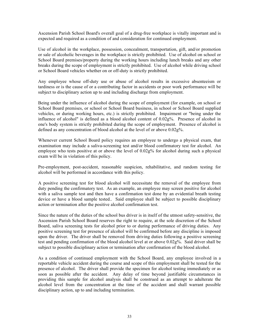Ascension Parish School Board's overall goal of a drug-free workplace is vitally important and is expected and required as a condition of and consideration for continued employment.

Use of alcohol in the workplace, possession, concealment, transportation, gift, and/or promotion or sale of alcoholic beverages in the workplace is strictly prohibited. Use of alcohol on school or School Board premises/property during the working hours including lunch breaks and any other breaks during the scope of employment is strictly prohibited. Use of alcohol while driving school or School Board vehicles whether on or off-duty is strictly prohibited.

Any employee whose off-duty use or abuse of alcohol results in excessive absenteeism or tardiness or is the cause of or a contributing factor in accidents or poor work performance will be subject to disciplinary action up to and including discharge from employment.

Being under the influence of alcohol during the scope of employment (for example, on school or School Board premises, or school or School Board business, in school or School Board supplied vehicles, or during working hours, etc.) is strictly prohibited. Impairment or "being under the influence of alcohol" is defined as a blood alcohol content of 0.02g%. Presence of alcohol in one's body system is strictly prohibited during the scope of employment. Presence of alcohol is defined as any concentration of blood alcohol at the level of or above 0.02g%.

Whenever current School Board policy requires an employee to undergo a physical exam, that examination may include a saliva-screening test and/or blood confirmatory test for alcohol. An employee who tests positive at or above the level of 0.02g% for alcohol during such a physical exam will be in violation of this policy.

Pre-employment, post-accident, reasonable suspicion, rehabilitative, and random testing for alcohol will be performed in accordance with this policy.

A positive screening test for blood alcohol will necessitate the removal of the employee from duty pending the confirmatory test. As an example, an employee may screen positive for alcohol with a saliva sample test and then have a confirmation test done by an evidential breath testing device or have a blood sample tested.. Said employee shall be subject to possible disciplinary action or termination after the positive alcohol confirmation test.

Since the nature of the duties of the school bus driver is in itself of the utmost safety-sensitive, the Ascension Parish School Board reserves the right to require, at the sole discretion of the School Board, saliva screening tests for alcohol prior to or during performance of driving duties. Any positive screening test for presence of alcohol will be confirmed before any discipline is imposed upon the driver. The driver shall be removed from driving duties following a positive screening test and pending confirmation of the blood alcohol level at or above 0.02g%. Said driver shall be subject to possible disciplinary action or termination after confirmation of the blood alcohol.

As a condition of continued employment with the School Board, any employee involved in a reportable vehicle accident during the course and scope of this employment shall be tested for the presence of alcohol. The driver shall provide the specimen for alcohol testing immediately or as soon as possible after the accident. Any delay of time beyond justifiable circumstances in providing this sample for alcohol analysis shall be construed as an attempt to adulterate the alcohol level from the concentration at the time of the accident and shall warrant possible disciplinary action, up to and including termination.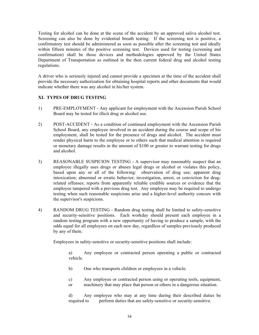Testing for alcohol can be done at the scene of the accident by an approved saliva alcohol test. Screening can also be done by evidential breath testing. If the screening test is positive, a confirmatory test should be administered as soon as possible after the screening test and ideally within fifteen minutes of the positive screening test. Devices used for testing (screening and confirmation) shall be those devices and methodologies approved by the United States Department of Transportation as outlined in the then current federal drug and alcohol testing regulations.

A driver who is seriously injured and cannot provide a specimen at the time of the accident shall provide the necessary authorization for obtaining hospital reports and other documents that would indicate whether there was any alcohol in his/her system.

## **XI. TYPES OF DRUG TESTING**

- 1) PRE-EMPLOYMENT Any applicant for employment with the Ascension Parish School Board may be tested for illicit drug or alcohol use.
- 2) POST-ACCIDENT As a condition of continued employment with the Ascension Parish School Board, any employee involved in an accident during the course and scope of his employment, shall be tested for the presence of drugs and alcohol. The accident must render physical harm to the employee or to others such that medical attention is required or monetary damage results in the amount of \$100 or greater to warrant testing for drugs and alcohol.
- 3) REASONABLE SUSPICION TESTING A supervisor may reasonably suspect that an employee illegally uses drugs or abuses legal drugs or alcohol or violates this policy, based upon any or all of the following: observation of drug use; apparent drug intoxication; abnormal or erratic behavior; investigation, arrest, or conviction for drugrelated offenses; reports from apparently reliable credible sources or evidence that the employee tampered with a previous drug test. Any employee may be required to undergo testing when such reasonable suspicions arise and a higher-level authority concurs with the supervisor's suspicions.
- 4) RANDOM DRUG TESTING Random drug testing shall be limited to safety-sensitive and security-sensitive positions. Each workday should present each employee in a random testing program with a new opportunity of having to produce a sample, with the odds equal for all employees on each new day, regardless of samples previously produced by any of them.

Employees in safety-sensitive or security-sensitive positions shall include:

a) Any employee or contracted person operating a public or contracted vehicle.

- b) One who transports children or employees in a vehicle.
- c) Any employee or contracted person using or operating tools, equipment,
- or machinery that may place that person or others in a dangerous situation.

d) Any employee who may at any time during their described duties be required to perform duties that are safety-sensitive or security-sensitive.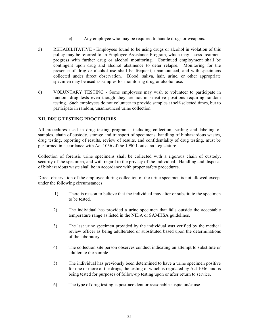- e) Any employee who may be required to handle drugs or weapons.
- 5) REHABILITATIVE Employees found to be using drugs or alcohol in violation of this policy may be referred to an Employee Assistance Program, which may assess treatment progress with further drug or alcohol monitoring. Continued employment shall be contingent upon drug and alcohol abstinence to deter relapse. Monitoring for the presence of drug or alcohol use shall be frequent, unannounced, and with specimens collected under direct observation. Blood, saliva, hair, urine, or other appropriate specimen may be used as samples for monitoring drug or alcohol use.
- 6) VOLUNTARY TESTING Some employees may wish to volunteer to participate in random drug tests even though they are not in sensitive positions requiring random testing. Such employees do not volunteer to provide samples at self-selected times, but to participate in random, unannounced urine collection.

## **XII. DRUG TESTING PROCEDURES**

All procedures used in drug testing programs, including collection, sealing and labeling of samples, chain of custody, storage and transport of specimens, handling of biohazardous wastes, drug testing, reporting of results, review of results, and confidentiality of drug testing, must be performed in accordance with Act 1036 of the 1990 Louisiana Legislature.

Collection of forensic urine specimens shall be collected with a rigorous chain of custody, security of the specimen, and with regard to the privacy of the individual. Handling and disposal of biohazardous waste shall be in accordance with proper safety procedures.

Direct observation of the employee during collection of the urine specimen is not allowed except under the following circumstances:

- 1) There is reason to believe that the individual may alter or substitute the specimen to be tested.
- 2) The individual has provided a urine specimen that falls outside the acceptable temperature range as listed in the NIDA or SAMHSA guidelines.
- 3) The last urine specimen provided by the individual was verified by the medical review officer as being adulterated or substituted based upon the determinations of the laboratory.
- 4) The collection site person observes conduct indicating an attempt to substitute or adulterate the sample.
- 5) The individual has previously been determined to have a urine specimen positive for one or more of the drugs, the testing of which is regulated by Act 1036, and is being tested for purposes of follow-up testing upon or after return to service.
- 6) The type of drug testing is post-accident or reasonable suspicion/cause.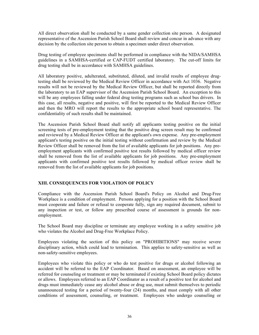All direct observation shall be conducted by a same gender collection site person. A designated representative of the Ascension Parish School Board shall review and concur in advance with any decision by the collection site person to obtain a specimen under direct observation.

Drug testing of employee specimens shall be performed in compliance with the NIDA/SAMHSA guidelines in a SAMHSA-certified or CAP-FUDT certified laboratory. The cut-off limits for drug testing shall be in accordance with SAMHSA guidelines.

All laboratory positive, adulterated, substituted, diluted, and invalid results of employee drugtesting shall be reviewed by the Medical Review Officer in accordance with Act 1036. Negative results will not be reviewed by the Medical Review Officer, but shall be reported directly from the laboratory to an EAP supervisor of the Ascension Parish School Board. An exception to this will be any employees falling under federal drug testing programs such as school bus drivers. In this case, all results, negative and positive, will first be reported to the Medical Review Officer and then the MRO will report the results to the appropriate school board representative. The confidentiality of such results shall be maintained.

The Ascension Parish School Board shall notify all applicants testing positive on the initial screening tests of pre-employment testing that the positive drug screen result may be confirmed and reviewed by a Medical Review Officer at the applicant's own expense. Any pre-employment applicant's testing positive on the initial testing without confirmation and review by the Medical Review Officer shall be removed from the list of available applicants for job positions. Any preemployment applicants with confirmed positive test results followed by medical officer review shall be removed from the list of available applicants for job positions. Any pre-employment applicants with confirmed positive test results followed by medical officer review shall be removed from the list of available applicants for job positions.

## **XIII. CONSEQUENCES FOR VIOLATION OF POLICY**

Compliance with the Ascension Parish School Board's Policy on Alcohol and Drug-Free Workplace is a condition of employment. Persons applying for a position with the School Board must cooperate and failure or refusal to cooperate fully, sign any required document, submit to any inspection or test, or follow any prescribed course of assessment is grounds for nonemployment.

The School Board may discipline or terminate any employee working in a safety sensitive job who violates the Alcohol and Drug-Free Workplace Policy.

Employees violating the section of this policy on "PROHIBITIONS" may receive severe disciplinary action, which could lead to termination. This applies to safety-sensitive as well as non-safety-sensitive employees.

Employees who violate this policy or who do test positive for drugs or alcohol following an accident will be referred to the EAP Coordinator. Based on assessment, an employee will be referred for counseling or treatment or may be terminated if existing School Board policy dictates or allows. Employees referred to an EAP Coordinator as a result of a positive test for alcohol and drugs must immediately cease any alcohol abuse or drug use, must submit themselves to periodic unannounced testing for a period of twenty-four (24) months, and must comply with all other conditions of assessment, counseling, or treatment. Employees who undergo counseling or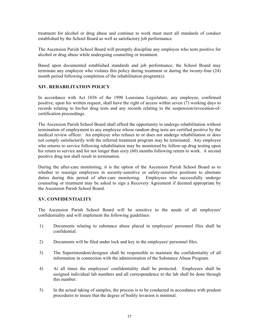treatment for alcohol or drug abuse and continue to work must meet all standards of conduct established by the School Board as well as satisfactory job performance.

The Ascension Parish School Board will promptly discipline any employee who tests positive for alcohol or drug abuse while undergoing counseling or treatment.

Based upon documented established standards and job performance, the School Board may terminate any employee who violates this policy during treatment or during the twenty-four (24) month period following completion of the rehabilitation program(s).

## **XIV. REHABILITATION POLICY**

In accordance with Act 1036 of the 1990 Louisiana Legislature, any employee, confirmed positive, upon his written request, shall have the right of access within seven (7) working days to records relating to his/her drug tests and any records relating to the suspension/revocation-ofcertification proceedings.

The Ascension Parish School Board shall afford the opportunity to undergo rehabilitation without termination of employment to any employee whose random drug tests are certified positive by the medical review officer. An employee who refuses to or does not undergo rehabilitation or does not comply satisfactorily with the referred treatment program may be terminated. Any employee who returns to service following rehabilitation may be monitored by follow-up drug testing upon his return to service and for not longer than sixty (60) months following return to work. A second positive drug test shall result in termination.

During the after-care monitoring, it is the option of the Ascension Parish School Board as to whether to reassign employees in security-sensitive or safety-sensitive positions to alternate duties during this period of after-care monitoring. Employees who successfully undergo counseling or treatment may be asked to sign a Recovery Agreement if deemed appropriate by the Ascension Parish School Board.

## **XV. CONFIDENTIALITY**

The Ascension Parish School Board will be sensitive to the needs of all employees' confidentiality and will implement the following guidelines:

- 1) Documents relating to substance abuse placed in employees' personnel files shall be confidential.
- 2) Documents will be filed under lock and key in the employees' personnel files.
- 3) The Superintendent/designee shall be responsible to maintain the confidentiality of all information in connection with the administration of the Substance Abuse Program.
- 4) At all times the employees' confidentiality shall be protected. Employees shall be assigned individual lab numbers and all correspondence to the lab shall be done through this number.
- 5) In the actual taking of samples, the process is to be conducted in accordance with prudent procedures to insure that the degree of bodily invasion is minimal.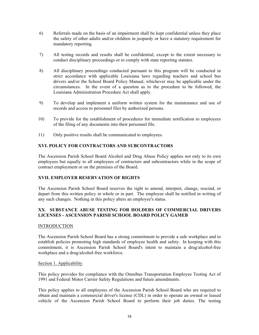- 6) Referrals made on the basis of an impairment shall be kept confidential unless they place the safety of other adults and/or children in jeopardy or have a statutory requirement for mandatory reporting.
- 7) All testing records and results shall be confidential, except to the extent necessary to conduct disciplinary proceedings or to comply with state reporting statutes.
- 8) All disciplinary proceedings conducted pursuant to this program will be conducted in strict accordance with applicable Louisiana laws regarding teachers and school bus drivers and/or the School Board Policy Manual, whichever may be applicable under the circumstances. In the event of a question as to the procedure to be followed, the Louisiana Administration Procedure Act shall apply.
- 9) To develop and implement a uniform written system for the maintenance and use of records and access to personnel files by authorized persons.
- 10) To provide for the establishment of procedures for immediate notification to employees of the filing of any documents into their personnel file.
- 11) Only positive results shall be communicated to employees.

## **XVI. POLICY FOR CONTRACTORS AND SUBCONTRACTORS**

The Ascension Parish School Board Alcohol and Drug Abuse Policy applies not only to its own employees but equally to all employees of contractors and subcontractors while in the scope of contract employment or on the premises of the Board.

## **XVII. EMPLOYER RESERVATION OF RIGHTS**

The Ascension Parish School Board reserves the right to amend, interpret, change, rescind, or depart from this written policy in whole or in part. The employee shall be notified in writing of any such changes. Nothing in this policy alters an employee's status.

## **XX**. **SUBSTANCE ABUSE TESTING FOR HOLDERS OF COMMERCIAL DRIVERS LICENSES - ASCENSION PARISH SCHOOL BOARD POLICY GAMEB**

## **INTRODUCTION**

The Ascension Parish School Board has a strong commitment to provide a safe workplace and to establish policies promoting high standards of employee health and safety. In keeping with this commitment, it is Ascension Parish School Board's intent to maintain a drug/alcohol-free workplace and a drug/alcohol-free workforce.

## Section 1. Applicability

This policy provides for compliance with the Omnibus Transportation Employee Testing Act of 1991 and Federal Motor Carrier Safety Regulations and future amendments.

This policy applies to all employees of the Ascension Parish School Board who are required to obtain and maintain a commercial driver's license (CDL) in order to operate an owned or leased vehicle of the Ascension Parish School Board to perform their job duties. The testing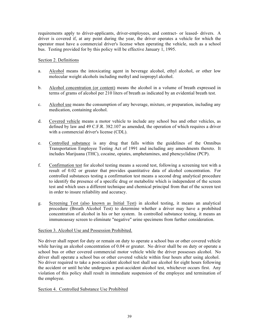requirements apply to driver-applicants, driver-employees, and contract- or leased- drivers. A driver is covered if, at any point during the year, the driver operates a vehicle for which the operator must have a commercial driver's license when operating the vehicle, such as a school bus. Testing provided for by this policy will be effective January 1, 1995.

## Section 2. Definitions

- a. Alcohol means the intoxicating agent in beverage alcohol, ethyl alcohol, or other low molecular weight alcohols including methyl and isopropyl alcohol.
- b. Alcohol concentration (or content) means the alcohol in a volume of breath expressed in terms of grams of alcohol per 210 liters of breath as indicated by an evidential breath test.
- c. Alcohol use means the consumption of any beverage, mixture, or preparation, including any medication, containing alcohol.
- d. Covered vehicle means a motor vehicle to include any school bus and other vehicles, as defined by law and 49 C.F.R. 382.107 as amended, the operation of which requires a driver with a commercial driver's license (CDL).
- e. Controlled substance is any drug that falls within the guidelines of the Omnibus Transportation Employee Testing Act of 1991 and including any amendments thereto. It includes Marijuana (THC), cocaine, opiates, amphetamines, and phencyclidine (PCP).
- f. Confirmation test for alcohol testing means a second test, following a screening test with a result of 0.02 or greater that provides quantitative data of alcohol concentration. For controlled substances testing a confirmation test means a second drug analytical procedure to identify the presence of a specific drug or metabolite which is independent of the screen test and which uses a different technique and chemical principal from that of the screen test in order to insure reliability and accuracy.
- g. Screening Test (also known as Initial Test) in alcohol testing, it means an analytical procedure (Breath Alcohol Test) to determine whether a driver may have a prohibited concentration of alcohol in his or her system. In controlled substance testing, it means an immunoassay screen to eliminate "negative" urine specimens from further consideration.

## Section 3. Alcohol Use and Possession Prohibited.

No driver shall report for duty or remain on duty to operate a school bus or other covered vehicle while having an alcohol concentration of 0.04 or greater. No driver shall be on duty or operate a school bus or other covered commercial motor vehicle while the driver possesses alcohol. No driver shall operate a school bus or other covered vehicle within four hours after using alcohol. No driver required to take a post-accident alcohol test shall use alcohol for eight hours following the accident or until he/she undergoes a post-accident alcohol test, whichever occurs first. Any violation of this policy shall result in immediate suspension of the employee and termination of the employee.

## Section 4. Controlled Substance Use Prohibited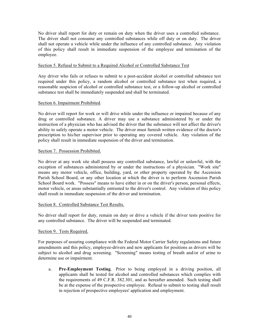No driver shall report for duty or remain on duty when the driver uses a controlled substance. The driver shall not consume any controlled substances while off duty or on duty. The driver shall not operate a vehicle while under the influence of any controlled substance. Any violation of this policy shall result in immediate suspension of the employee and termination of the employee.

#### Section 5. Refusal to Submit to a Required Alcohol or Controlled Substance Test

Any driver who fails or refuses to submit to a post-accident alcohol or controlled substance test required under this policy, a random alcohol or controlled substance test when required, a reasonable suspicion of alcohol or controlled substance test, or a follow-up alcohol or controlled substance test shall be immediately suspended and shall be terminated.

#### Section 6. Impairment Prohibited.

No driver will report for work or will drive while under the influence or impaired because of any drug or controlled substance. A driver may use a substance administered by or under the instruction of a physician who has advised the driver that the substance will not affect the driver's ability to safely operate a motor vehicle. The driver must furnish written evidence of the doctor's prescription to his/her supervisor prior to operating any covered vehicle. Any violation of the policy shall result in immediate suspension of the driver and termination.

#### Section 7. Possession Prohibited.

No driver at any work site shall possess any controlled substance, lawful or unlawful, with the exception of substances administered by or under the instructions of a physician. "Work site" means any motor vehicle, office, building, yard, or other property operated by the Ascension Parish School Board, or any other location at which the driver is to perform Ascension Parish School Board work. "Possess" means to have either in or on the driver's person, personal effects, motor vehicle, or areas substantially entrusted to the driver's control. Any violation of this policy shall result in immediate suspension of the driver and termination.

## Section 8. Controlled Substance Test Results.

No driver shall report for duty, remain on duty or drive a vehicle if the driver tests positive for any controlled substance. The driver will be suspended and terminated.

## Section 9. Tests Required.

For purposes of assuring compliance with the Federal Motor Carrier Safety regulations and future amendments and this policy, employee-drivers and new applicants for positions as drivers will be subject to alcohol and drug screening. "Screening" means testing of breath and/or of urine to determine use or impairment.

a. **Pre-Employment Testing**. Prior to being employed in a driving position, all applicants shall be tested for alcohol and controlled substances which complies with the requirements of 49 C.F.R. 382.301, and as hereafter amended. Such testing shall be at the expense of the prospective employee. Refusal to submit to testing shall result in rejection of prospective employees' application and employment.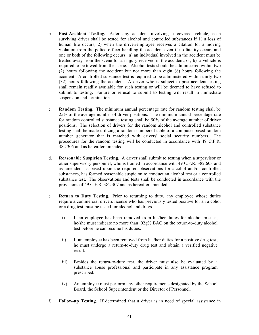- b. **Post-Accident Testing.** After any accident involving a covered vehicle, each surviving driver shall be tested for alcohol and controlled substances if 1) a loss of human life occurs; 2) when the driver/employee receives a citation for a moving violation from the police officer handling the accident even if no fatality occurs and one or both of the following occurs: a) an individual involved in the accident must be treated away from the scene for an injury received in the accident, or; b) a vehicle is required to be towed from the scene. Alcohol tests should be administered within two (2) hours following the accident but not more than eight (8) hours following the accident. A controlled substance test is required to be administered within thirty-two (32) hours following the accident. A driver who is subject to post-accident testing shall remain readily available for such testing or will be deemed to have refused to submit to testing. Failure or refusal to submit to testing will result in immediate suspension and termination.
- c. **Random Testing.** The minimum annual percentage rate for random testing shall be 25% of the average number of driver positions. The minimum annual percentage rate for random controlled substance testing shall be 50% of the average number of driver positions. The selection of drivers for the random alcohol and controlled substance testing shall be made utilizing a random numbered table of a computer based random number generator that is matched with drivers' social security numbers. The procedures for the random testing will be conducted in accordance with 49 C.F.R. 382.305 and as hereafter amended.
- d. **Reasonable Suspicion Testing.** A driver shall submit to testing when a supervisor or other supervisory personnel, who is trained in accordance with 49 C.F.R. 382.603 and as amended, as based upon the required observations for alcohol and/or controlled substances, has formed reasonable suspicion to conduct an alcohol test or a controlled substance test. The observations and tests shall be conducted in accordance with the provisions of 49 C.F.R. 382.307 and as hereafter amended.
- e. **Return to Duty Testing.** Prior to returning to duty, any employee whose duties require a commercial drivers license who has previously tested positive for an alcohol or a drug test must be tested for alcohol and drugs.
	- i) If an employee has been removed from his/her duties for alcohol misuse, he/she must indicate no more than .02g% BAC on the return-to-duty alcohol test before he can resume his duties.
	- ii) If an employee has been removed from his/her duties for a positive drug test, he must undergo a return-to-duty drug test and obtain a verified negative result.
	- iii) Besides the return-to-duty test, the driver must also be evaluated by a substance abuse professional and participate in any assistance program prescribed.
	- iv) An employee must perform any other requirements designated by the School Board, the School Superintendent or the Director of Personnel.
- f. **Follow-up Testing.** If determined that a driver is in need of special assistance in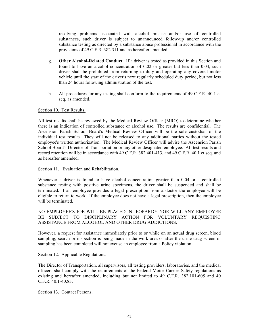resolving problems associated with alcohol misuse and/or use of controlled substances, such driver is subject to unannounced follow-up and/or controlled substance testing as directed by a substance abuse professional in accordance with the provisions of 49 C.F.R. 382.311 and as hereafter amended.

- g. **Other Alcohol-Related Conduct.** If a driver is tested as provided in this Section and found to have an alcohol concentration of 0.02 or greater but less than 0.04, such driver shall be prohibited from returning to duty and operating any covered motor vehicle until the start of the driver's next regularly scheduled duty period, but not less than 24 hours following administration of the test.
- h. All procedures for any testing shall conform to the requirements of 49 C.F.R. 40.1 et seq. as amended.

## Section 10. Test Results.

All test results shall be reviewed by the Medical Review Officer (MRO) to determine whether there is an indication of controlled substance or alcohol use. The results are confidential. The Ascension Parish School Board's Medical Review Officer will be the sole custodian of the individual test results. They will not be released to any additional parties without the tested employee's written authorization. The Medical Review Officer will advise the Ascension Parish School Board's Director of Transportation or any other designated employee. All test results and record retention will be in accordance with 49 C.F.R. 382.401-413, and 49 C.F.R. 40.1 et seq. and as hereafter amended.

#### Section 11. Evaluation and Rehabilitation.

Whenever a driver is found to have alcohol concentration greater than 0.04 or a controlled substance testing with positive urine specimens, the driver shall be suspended and shall be terminated. If an employee provides a legal prescription from a doctor the employee will be eligible to return to work. If the employee does not have a legal prescription, then the employee will be terminated.

## NO EMPLOYEE'S JOB WILL BE PLACED IN JEOPARDY NOR WILL ANY EMPLOYEE BE SUBJECT TO DISCIPLINARY ACTION FOR VOLUNTARY REQUESTING ASSISTANCE FROM ALCOHOL AND OTHER DRUG ADDICTIONS.

However, a request for assistance immediately prior to or while on an actual drug screen, blood sampling, search or inspection is being made in the work area or after the urine drug screen or sampling has been completed will not excuse an employee from a Policy violation.

## Section 12. Applicable Regulations.

The Director of Transportation, all supervisors, all testing providers, laboratories, and the medical officers shall comply with the requirements of the Federal Motor Carrier Safety regulations as existing and hereafter amended, including but not limited to 49 C.F.R. 382.101-605 and 40 C.F.R. 40.1-40.83.

Section 13. Contact Persons.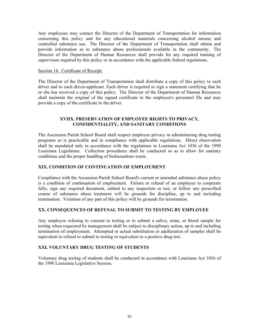Any employees may contact the Director of the Department of Transportation for information concerning this policy and for any educational materials concerning alcohol misuse and controlled substance use. The Director of the Department of Transportation shall obtain and provide information as to substance abuse professionals available in the community. The Director of the Department of Human Resources shall provide for any required training of supervisors required by this policy or in accordance with the applicable federal regulations.

#### Section 14. Certificate of Receipt.

The Director of the Department of Transportation shall distribute a copy of this policy to each driver and to each driver-applicant. Each driver is required to sign a statement certifying that he or she has received a copy of this policy. The Director of the Department of Human Resources shall maintain the original of the signed certificate in the employee's personnel file and may provide a copy of the certificate to the driver.

#### **XVIIX. PRESERVATION OF EMPLOYEE RIGHTS TO PRIVACY, CONFIDENTIALITY, AND SANITARY CONDITIONS**

The Ascension Parish School Board shall respect employee privacy in administering drug testing programs as is practicable and in compliance with applicable regulations. Direct observation shall be mandated only in accordance with the regulations in Louisiana Act 1036 of the 1990 Louisiana Legislature. Collection procedures shall be conducted so as to allow for sanitary conditions and the proper handling of biohazardous waste.

## **XIX. CONDITION OF CONTINUATION OF EMPLOYMENT**

Compliance with the Ascension Parish School Board's current or amended substance abuse policy is a condition of continuation of employment. Failure or refusal of an employee to cooperate fully, sign any required document, submit to any inspection or test, or follow any prescribed course of substance abuse treatment will be grounds for discipline, up to and including termination. Violation of any part of this policy will be grounds for termination.

## **XX. CONSEQUENCES OF REFUSAL TO SUBMIT TO TESTING BY EMPLOYEE**

Any employee refusing to consent to testing or to submit a saliva, urine, or blood sample for testing when requested by management shall be subject to disciplinary action, up to and including termination of employment. Attempted or actual substitution or adulteration of samples shall be equivalent to refusal to submit to testing or equivalent to a positive drug test.

## **XXI. VOLUNTARY DRUG TESTING OF STUDENTS**

Voluntary drug testing of students shall be conducted in accordance with Louisiana Act 1036 of the 1990 Louisiana Legislative Session.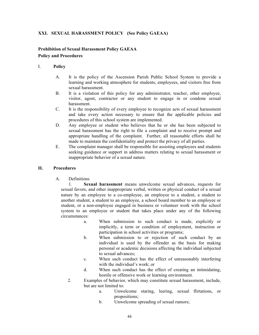## **XXI. SEXUAL HARASSMENT POLICY (See Policy GAEAA)**

## **Prohibition of Sexual Harassment Policy GAEAA Policy and Procedures**

## I. **Policy**

- A. It is the policy of the Ascension Parish Public School System to provide a learning and working atmosphere for students, employees, and visitors free from sexual harassment.
- B. It is a violation of this policy for any administrator, teacher, other employee, visitor, agent, contractor or any student to engage in or condone sexual harassment.
- C. It is the responsibility of every employee to recognize acts of sexual harassment and take every action necessary to ensure that the applicable policies and procedures of this school system are implemented.
- D. Any employee or student who believes that he or she has been subjected to sexual harassment has the right to file a complaint and to receive prompt and appropriate handling of the complaint. Further, all reasonable efforts shall be made to maintain the confidentiality and protect the privacy of all parties.
- E. The complaint manager shall be responsible for assisting employees and students seeking guidance or support in address matters relating to sexual harassment or inappropriate behavior of a sexual nature.

## **II. Procedures**

A. Definitions

 1. **Sexual harassment** means unwelcome sexual advances, requests for sexual favors, and other inappropriate verbal, written or physical conduct of a sexual nature by an employee to a co-employee, an employee to a student, a student to another student, a student to an employee, a school board member to an employee or student, or a non-employee engaged in business or volunteer work with the school system to an employee or student that takes place under any of the following circumstances:

- a. When submission to such conduct is made, explicitly or implicitly, a term or condition of employment, instruction or participation in school activities or programs;
- b. When submission to or rejection of such conduct by an individual is used by the offender as the basis for making personal or academic decisions affecting the individual subjected to sexual advances;
- c. When such conduct has the effect of unreasonably interfering with the individual's work; or
- d. When such conduct has the effect of creating an intimidating, hostile or offensive work or learning environment.
- 2. Examples of behavior, which may constitute sexual harassment, include, but are not limited to:
	- a. Unwelcome staring, leering, sexual flirtations, or propositions;
	- b. Unwelcome spreading of sexual rumors;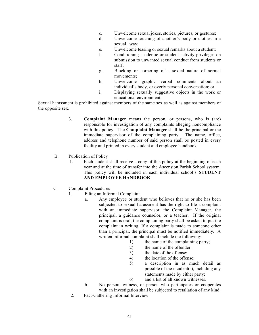- c. Unwelcome sexual jokes, stories, pictures, or gestures;
- d. Unwelcome touching of another's body or clothes in a sexual way;
- e. Unwelcome teasing or sexual remarks about a student;
- f. Conditioning academic or student activity privileges on submission to unwanted sexual conduct from students or staff;
- g. Blocking or cornering of a sexual nature of normal movements;
- h. Unwelcome graphic verbal comments about an individual's body, or overly personal conversation; or
- i. Displaying sexually suggestive objects in the work or educational environment.

Sexual harassment is prohibited against members of the same sex as well as against members of the opposite sex.

- 3. **Complaint Manager** means the person, or persons, who is (are) responsible for investigation of any complaints alleging noncompliance with this policy. The **Complaint Manager** shall be the principal or the immediate supervisor of the complaining party. The name, office, address and telephone number of said person shall be posted in every facility and printed in every student and employee handbook.
- B. Publication of Policy
	- 1. Each student shall receive a copy of this policy at the beginning of each year and at the time of transfer into the Ascension Parish School system. This policy will be included in each individual school's **STUDENT AND EMPLOYEE HANDBOOK**.
- C. Complaint Procedures
	- 1. Filing an Informal Complaint
		- a. Any employee or student who believes that he or she has been subjected to sexual harassment has the right to file a complaint with an immediate supervisor, the Complaint Manager, the principal, a guidance counselor, or a teacher. If the original complaint is oral, the complaining party shall be asked to put the complaint in writing. If a complaint is made to someone other than a principal, the principal must be notified immediately. A written informal complaint shall include the following:
			- 1) the name of the complaining party;
			- 2) the name of the offender;
			- 3) the date of the offense;
			- 4) the location of the offense;
			- 5) a description in as much detail as possible of the incident(s), including any statements made by either party;
			- 6) and a list of all known witnesses.
		- b. No person, witness, or person who participates or cooperates with an investigation shall be subjected to retaliation of any kind.
	- 2. Fact-Gathering Informal Interview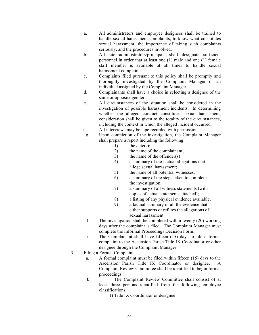- a. All administrators and employee designees shall be trained to handle sexual harassment complaints, to know what constitutes sexual harassment, the importance of taking such complaints seriously, and the procedures involved.
- b. All site administrators/principals shall designate sufficient personnel in order that at least one (1) male and one (1) female staff member is available at all times to handle sexual harassment complaints.
- c. Complaints filed pursuant to this policy shall be promptly and thoroughly investigated by the Complaint Manager or an individual assigned by the Complaint Manager.
- d. Complainants shall have a choice in selecting a designee of the same or opposite gender.
- e. All circumstances of the situation shall be considered in the investigation of possible harassment incidents. In determining whether the alleged conduct constitutes sexual harassment, consideration shall be given to the totality of the circumstances, including the context in which the alleged incident occurred.
- f. All interviews may be tape recorded with permission.
	- g. Upon completion of the investigation, the Complaint Manager shall prepare a report including the following:
		- 1) the date(s):
		- 2) the name of the complainant;
		- 3) the name of the offender(s)
		- 4) a summary of the factual allegations that allege sexual harassment;
		- 5) the name of all potential witnesses;
		- 6) a summary of the steps taken to complete the investigation;
		- 7) a summary of all witness statements (with copies of actual statements attached);
		- 8) a listing of any physical evidence available;
		- 9) a factual summary of all the evidence that either supports or refutes the allegations of sexual harassment.
	- h. The investigation shall be completed within twenty (20) working days after the complaint is filed. The Complaint Manager must complete the Informal Proceedings Decision Form.
	- i. The Complainant shall have fifteen (15) days to file a formal complaint to the Ascension Parish Title IX Coordinator or other designee through the Complaint Manager.
- 3. Filing a Formal Complaint
	- a. A formal complaint must be filed within fifteen (15) days to the Ascension Parish Title IX Coordinator or designee. A Complaint Review Committee shall be identified to begin formal proceedings.
	- b. The Complaint Review Committee shall consist of at least three persons identified from the following employee classifications:
		- 1) Title IX Coordinator or designee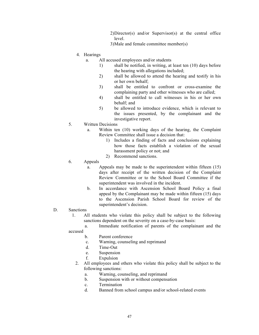- 2)Director(s) and/or Supervisor(s) at the central office level.
- 3)Male and female committee member(s)
- 4. Hearings
	- a. All accused employees and/or students
		- 1) shall be notified, in writing, at least ten (10) days before the hearing with allegations included;
		- 2) shall be allowed to attend the hearing and testify in his or her own behalf;
		- 3) shall be entitled to confront or cross-examine the complaining party and other witnesses who are called;
		- 4) shall be entitled to call witnesses in his or her own behalf; and
		- 5) be allowed to introduce evidence, which is relevant to the issues presented, by the complainant and the investigative report.
- 5. Written Decisions
	- a. Within ten (10) working days of the hearing, the Complaint Review Committee shall issue a decision that:
		- 1) Includes a finding of facts and conclusions explaining how those facts establish a violation of the sexual harassment policy or not; and
		- 2) Recommend sanctions.
- 6. Appeals
	- a. Appeals may be made to the superintendent within fifteen (15) days after receipt of the written decision of the Complaint Review Committee or to the School Board Committee if the superintendent was involved in the incident.
	- b. In accordance with Ascension School Board Policy a final appeal by the Complainant may be made within fifteen (15) days to the Ascension Parish School Board for review of the superintendent's decision.
- D. Sanctions
	- 1. All students who violate this policy shall be subject to the following sanctions dependent on the severity on a case-by-case basis:
	- a. Immediate notification of parents of the complainant and the accused
		- b. Parent conference
		- c. Warning, counseling and reprimand
		- d. Time-Out
		- e. Suspension
		- f. Expulsion
		- 2. All employees and others who violate this policy shall be subject to the following sanctions:
			- a. Warning, counseling, and reprimand
			- b. Suspension with or without compensation
			- c. Termination
			- d. Banned from school campus and/or school-related events